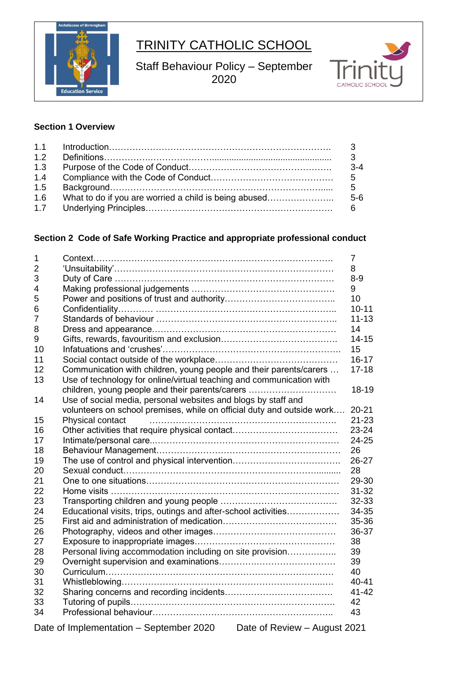

# TRINITY CATHOLIC SCHOOL

Staff Behaviour Policy – September 



# **Section 1 Overview**

| 1.2 |                                                       |                |
|-----|-------------------------------------------------------|----------------|
| 1.3 |                                                       | $3-4$          |
| 1.4 |                                                       |                |
| 1.5 |                                                       | 5              |
| 1.6 | What to do if you are worried a child is being abused | 5-6            |
| 1.7 |                                                       | 6 <sup>6</sup> |

# **Section 2 Code of Safe Working Practice and appropriate professional conduct**

| $\mathbf{1}$   |                                                                         | 7         |
|----------------|-------------------------------------------------------------------------|-----------|
| 2              |                                                                         | 8         |
| 3              |                                                                         | $8 - 9$   |
| $\overline{4}$ |                                                                         | 9         |
| 5              |                                                                         | 10        |
| 6              |                                                                         | $10 - 11$ |
| $\overline{7}$ |                                                                         | $11 - 13$ |
| 8              |                                                                         | 14        |
| 9              |                                                                         | $14 - 15$ |
| 10             |                                                                         | 15        |
| 11             |                                                                         | $16 - 17$ |
| 12             | Communication with children, young people and their parents/carers      | $17 - 18$ |
| 13             | Use of technology for online/virtual teaching and communication with    |           |
|                | children, young people and their parents/carers                         | 18-19     |
| 14             | Use of social media, personal websites and blogs by staff and           |           |
|                | volunteers on school premises, while on official duty and outside work  | $20 - 21$ |
| 15             | Physical contact                                                        | $21 - 23$ |
| 16             |                                                                         | $23 - 24$ |
| 17             |                                                                         | 24-25     |
| 18             |                                                                         | 26        |
| 19             |                                                                         | 26-27     |
| 20             |                                                                         | 28        |
| 21             |                                                                         | 29-30     |
| 22             |                                                                         | $31 - 32$ |
| 23             |                                                                         | 32-33     |
| 24             | Educational visits, trips, outings and after-school activities          | 34-35     |
| 25             |                                                                         | 35-36     |
| 26             |                                                                         | 36-37     |
| 27             |                                                                         | 38        |
| 28             | Personal living accommodation including on site provision               | 39        |
| 29             |                                                                         | 39        |
| 30             |                                                                         | 40        |
| 31             |                                                                         | 40-41     |
| 32             |                                                                         | $41 - 42$ |
| 33             |                                                                         | 42        |
| 34             |                                                                         | 43        |
|                |                                                                         |           |
|                | Date of Review - August 2021<br>Date of Implementation - September 2020 |           |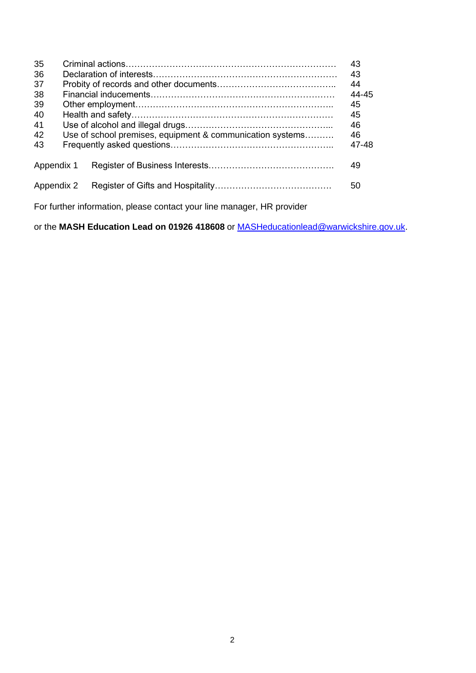| 35<br>36<br>37<br>38<br>39<br>40<br>41<br>42<br>43 | Use of school premises, equipment & communication systems | 43<br>43<br>44<br>44-45<br>45<br>45<br>46<br>46<br>47-48 |
|----------------------------------------------------|-----------------------------------------------------------|----------------------------------------------------------|
| Appendix 1                                         |                                                           | 49                                                       |
| Appendix 2                                         |                                                           | 50                                                       |

For further information, please contact your line manager, HR provider

or the **MASH Education Lead on 01926 418608** or [MASHeducationlead@warwickshire.gov.uk.](mailto:MASHeducationlead@warwickshire.gov.uk)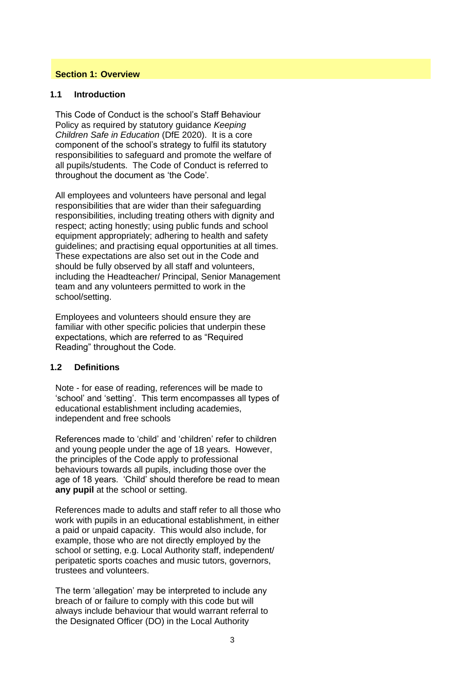#### **Section 1: Overview**

#### **1.1 Introduction**

This Code of Conduct is the school's Staff Behaviour Policy as required by statutory guidance *Keeping Children Safe in Education* (DfE 2020). It is a core component of the school's strategy to fulfil its statutory responsibilities to safeguard and promote the welfare of all pupils/students. The Code of Conduct is referred to throughout the document as 'the Code'*.* 

All employees and volunteers have personal and legal responsibilities that are wider than their safeguarding responsibilities, including treating others with dignity and respect; acting honestly; using public funds and school equipment appropriately; adhering to health and safety guidelines; and practising equal opportunities at all times. These expectations are also set out in the Code and should be fully observed by all staff and volunteers, including the Headteacher/ Principal, Senior Management team and any volunteers permitted to work in the school/setting.

Employees and volunteers should ensure they are familiar with other specific policies that underpin these expectations, which are referred to as "Required Reading" throughout the Code.

#### **1.2 Definitions**

Note - for ease of reading, references will be made to 'school' and 'setting'. This term encompasses all types of educational establishment including academies, independent and free schools

References made to 'child' and 'children' refer to children and young people under the age of 18 years. However, the principles of the Code apply to professional behaviours towards all pupils, including those over the age of 18 years. 'Child' should therefore be read to mean **any pupil** at the school or setting.

References made to adults and staff refer to all those who work with pupils in an educational establishment, in either a paid or unpaid capacity. This would also include, for example, those who are not directly employed by the school or setting, e.g. Local Authority staff, independent/ peripatetic sports coaches and music tutors, governors, trustees and volunteers.

The term 'allegation' may be interpreted to include any breach of or failure to comply with this code but will always include behaviour that would warrant referral to the Designated Officer (DO) in the Local Authority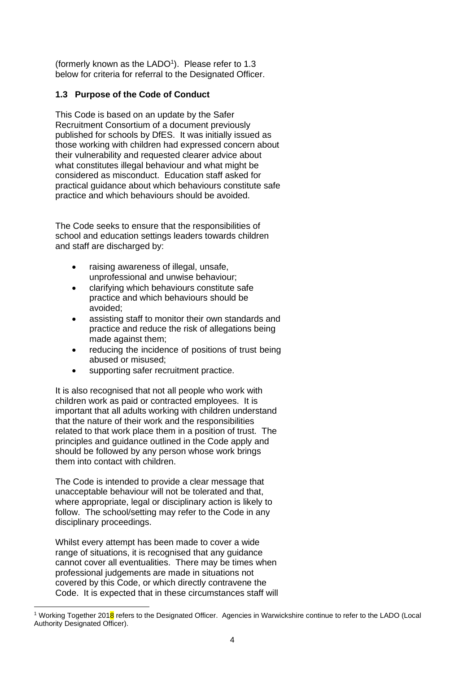(formerly known as the LADO<sup>1</sup>). Please refer to 1.3 below for criteria for referral to the Designated Officer.

# **1.3 Purpose of the Code of Conduct**

This Code is based on an update by the Safer Recruitment Consortium of a document previously published for schools by DfES. It was initially issued as those working with children had expressed concern about their vulnerability and requested clearer advice about what constitutes illegal behaviour and what might be considered as misconduct. Education staff asked for practical guidance about which behaviours constitute safe practice and which behaviours should be avoided.

The Code seeks to ensure that the responsibilities of school and education settings leaders towards children and staff are discharged by:

- raising awareness of illegal, unsafe, unprofessional and unwise behaviour;
- clarifying which behaviours constitute safe practice and which behaviours should be avoided;
- assisting staff to monitor their own standards and practice and reduce the risk of allegations being made against them;
- reducing the incidence of positions of trust being abused or misused;
- supporting safer recruitment practice.

It is also recognised that not all people who work with children work as paid or contracted employees. It is important that all adults working with children understand that the nature of their work and the responsibilities related to that work place them in a position of trust. The principles and guidance outlined in the Code apply and should be followed by any person whose work brings them into contact with children.

The Code is intended to provide a clear message that unacceptable behaviour will not be tolerated and that, where appropriate, legal or disciplinary action is likely to follow. The school/setting may refer to the Code in any disciplinary proceedings.

Whilst every attempt has been made to cover a wide range of situations, it is recognised that any guidance cannot cover all eventualities. There may be times when professional judgements are made in situations not covered by this Code, or which directly contravene the Code. It is expected that in these circumstances staff will

<sup>&</sup>lt;sup>1</sup> Working Together 2018 refers to the Designated Officer. Agencies in Warwickshire continue to refer to the LADO (Local Authority Designated Officer).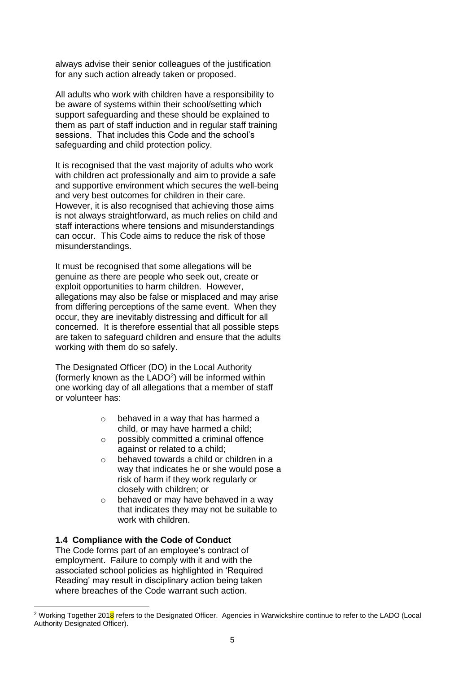always advise their senior colleagues of the justification for any such action already taken or proposed.

All adults who work with children have a responsibility to be aware of systems within their school/setting which support safeguarding and these should be explained to them as part of staff induction and in regular staff training sessions. That includes this Code and the school's safeguarding and child protection policy.

It is recognised that the vast majority of adults who work with children act professionally and aim to provide a safe and supportive environment which secures the well-being and very best outcomes for children in their care. However, it is also recognised that achieving those aims is not always straightforward, as much relies on child and staff interactions where tensions and misunderstandings can occur. This Code aims to reduce the risk of those misunderstandings.

It must be recognised that some allegations will be genuine as there are people who seek out, create or exploit opportunities to harm children. However, allegations may also be false or misplaced and may arise from differing perceptions of the same event. When they occur, they are inevitably distressing and difficult for all concerned. It is therefore essential that all possible steps are taken to safeguard children and ensure that the adults working with them do so safely.

The Designated Officer (DO) in the Local Authority (formerly known as the LADO<sup>2</sup>) will be informed within one working day of all allegations that a member of staff or volunteer has:

- o behaved in a way that has harmed a child, or may have harmed a child;
- o possibly committed a criminal offence against or related to a child;
- o behaved towards a child or children in a way that indicates he or she would pose a risk of harm if they work regularly or closely with children; or
- o behaved or may have behaved in a way that indicates they may not be suitable to work with children.

# **1.4 Compliance with the Code of Conduct**

The Code forms part of an employee's contract of employment. Failure to comply with it and with the associated school policies as highlighted in 'Required Reading' may result in disciplinary action being taken where breaches of the Code warrant such action.

<sup>&</sup>lt;sup>2</sup> Working Together 2018 refers to the Designated Officer. Agencies in Warwickshire continue to refer to the LADO (Local Authority Designated Officer).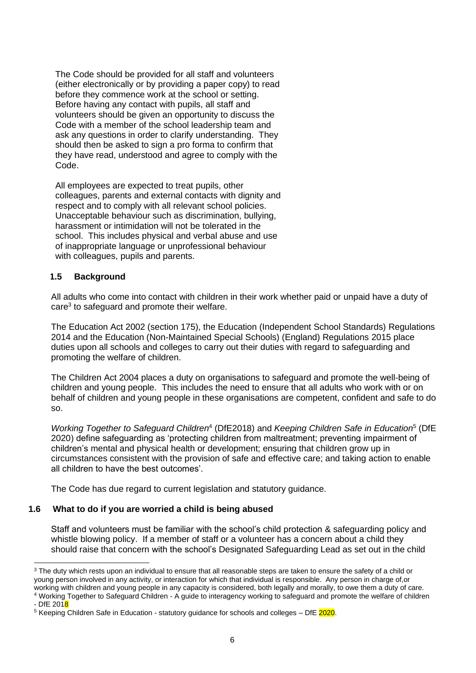The Code should be provided for all staff and volunteers (either electronically or by providing a paper copy) to read before they commence work at the school or setting. Before having any contact with pupils, all staff and volunteers should be given an opportunity to discuss the Code with a member of the school leadership team and ask any questions in order to clarify understanding. They should then be asked to sign a pro forma to confirm that they have read, understood and agree to comply with the Code.

All employees are expected to treat pupils, other colleagues, parents and external contacts with dignity and respect and to comply with all relevant school policies. Unacceptable behaviour such as discrimination, bullying, harassment or intimidation will not be tolerated in the school. This includes physical and verbal abuse and use of inappropriate language or unprofessional behaviour with colleagues, pupils and parents.

# **1.5 Background**

All adults who come into contact with children in their work whether paid or unpaid have a duty of care<sup>3</sup> to safeguard and promote their welfare.

The Education Act 2002 (section 175), the Education (Independent School Standards) Regulations 2014 and the Education (Non-Maintained Special Schools) (England) Regulations 2015 place duties upon all schools and colleges to carry out their duties with regard to safeguarding and promoting the welfare of children.

The Children Act 2004 places a duty on organisations to safeguard and promote the well-being of children and young people. This includes the need to ensure that all adults who work with or on behalf of children and young people in these organisations are competent, confident and safe to do so.

Working Together to Safeguard Children<sup>4</sup> (DfE2018) and *Keeping Children Safe in Education*<sup>5</sup> (DfE 2020) define safeguarding as 'protecting children from maltreatment; preventing impairment of children's mental and physical health or development; ensuring that children grow up in circumstances consistent with the provision of safe and effective care; and taking action to enable all children to have the best outcomes'.

The Code has due regard to current legislation and statutory guidance.

# **1.6 What to do if you are worried a child is being abused**

Staff and volunteers must be familiar with the school's child protection & safeguarding policy and whistle blowing policy. If a member of staff or a volunteer has a concern about a child they should raise that concern with the school's Designated Safeguarding Lead as set out in the child

<sup>&</sup>lt;sup>3</sup> The duty which rests upon an individual to ensure that all reasonable steps are taken to ensure the safety of a child or young person involved in any activity, or interaction for which that individual is responsible. Any person in charge of,or working with children and young people in any capacity is considered, both legally and morally, to owe them a duty of care.

<sup>4</sup> Working Together to Safeguard Children - A guide to interagency working to safeguard and promote the welfare of children - DfE 2018

<sup>&</sup>lt;sup>5</sup> Keeping Children Safe in Education - statutory guidance for schools and colleges – DfE 2020.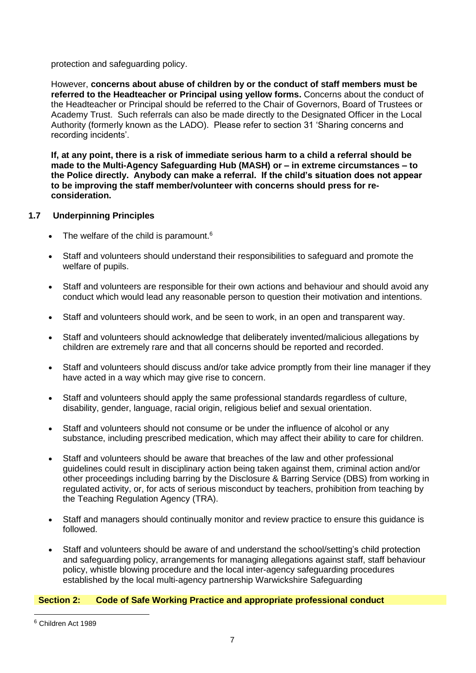protection and safeguarding policy.

However, **concerns about abuse of children by or the conduct of staff members must be referred to the Headteacher or Principal using yellow forms.** Concerns about the conduct of the Headteacher or Principal should be referred to the Chair of Governors, Board of Trustees or Academy Trust. Such referrals can also be made directly to the Designated Officer in the Local Authority (formerly known as the LADO). Please refer to section 31 'Sharing concerns and recording incidents'.

**If, at any point, there is a risk of immediate serious harm to a child a referral should be made to the Multi-Agency Safeguarding Hub (MASH) or – in extreme circumstances – to the Police directly. Anybody can make a referral. If the child's situation does not appear to be improving the staff member/volunteer with concerns should press for reconsideration.** 

# **1.7 Underpinning Principles**

- The welfare of the child is paramount. $6$
- Staff and volunteers should understand their responsibilities to safeguard and promote the welfare of pupils.
- Staff and volunteers are responsible for their own actions and behaviour and should avoid any conduct which would lead any reasonable person to question their motivation and intentions.
- Staff and volunteers should work, and be seen to work, in an open and transparent way.
- Staff and volunteers should acknowledge that deliberately invented/malicious allegations by children are extremely rare and that all concerns should be reported and recorded.
- Staff and volunteers should discuss and/or take advice promptly from their line manager if they have acted in a way which may give rise to concern.
- Staff and volunteers should apply the same professional standards regardless of culture, disability, gender, language, racial origin, religious belief and sexual orientation.
- Staff and volunteers should not consume or be under the influence of alcohol or any substance, including prescribed medication, which may affect their ability to care for children.
- Staff and volunteers should be aware that breaches of the law and other professional guidelines could result in disciplinary action being taken against them, criminal action and/or other proceedings including barring by the Disclosure & Barring Service (DBS) from working in regulated activity, or, for acts of serious misconduct by teachers, prohibition from teaching by the Teaching Regulation Agency (TRA).
- Staff and managers should continually monitor and review practice to ensure this guidance is followed.
- Staff and volunteers should be aware of and understand the school/setting's child protection and safeguarding policy, arrangements for managing allegations against staff, staff behaviour policy, whistle blowing procedure and the local inter-agency safeguarding procedures established by the local multi-agency partnership Warwickshire Safeguarding

# **Section 2: Code of Safe Working Practice and appropriate professional conduct**

<sup>6</sup> Children Act 1989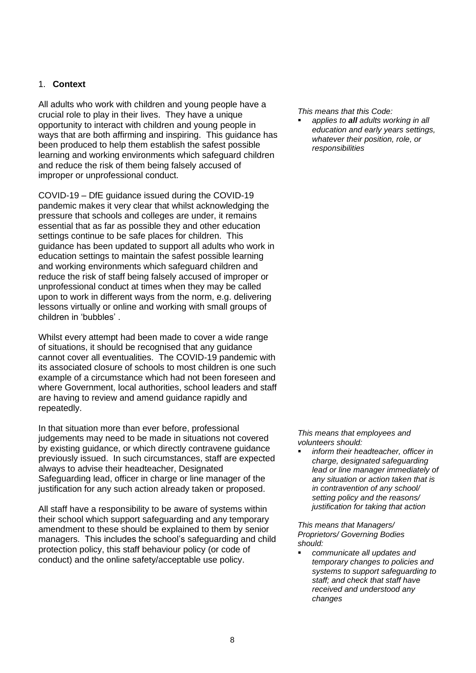# 1. **Context**

All adults who work with children and young people have a crucial role to play in their lives. They have a unique opportunity to interact with children and young people in ways that are both affirming and inspiring. This guidance has been produced to help them establish the safest possible learning and working environments which safeguard children and reduce the risk of them being falsely accused of improper or unprofessional conduct.

COVID-19 – DfE guidance issued during the COVID-19 pandemic makes it very clear that whilst acknowledging the pressure that schools and colleges are under, it remains essential that as far as possible they and other education settings continue to be safe places for children. This guidance has been updated to support all adults who work in education settings to maintain the safest possible learning and working environments which safeguard children and reduce the risk of staff being falsely accused of improper or unprofessional conduct at times when they may be called upon to work in different ways from the norm, e.g. delivering lessons virtually or online and working with small groups of children in 'bubbles' .

Whilst every attempt had been made to cover a wide range of situations, it should be recognised that any guidance cannot cover all eventualities. The COVID-19 pandemic with its associated closure of schools to most children is one such example of a circumstance which had not been foreseen and where Government, local authorities, school leaders and staff are having to review and amend guidance rapidly and repeatedly.

In that situation more than ever before, professional judgements may need to be made in situations not covered by existing guidance, or which directly contravene guidance previously issued. In such circumstances, staff are expected always to advise their headteacher, Designated Safeguarding lead, officer in charge or line manager of the justification for any such action already taken or proposed.

All staff have a responsibility to be aware of systems within their school which support safeguarding and any temporary amendment to these should be explained to them by senior managers. This includes the school's safeguarding and child protection policy, this staff behaviour policy (or code of conduct) and the online safety/acceptable use policy.

*This means that this Code:*

applies to **all** adults working in all *education and early years settings, whatever their position, role, or responsibilities*

*This means that employees and volunteers should:*

▪ *inform their headteacher, officer in charge, designated safeguarding lead or line manager immediately of any situation or action taken that is in contravention of any school/ setting policy and the reasons/ justification for taking that action*

*This means that Managers/ Proprietors/ Governing Bodies should:* 

▪ *communicate all updates and temporary changes to policies and systems to support safeguarding to staff; and check that staff have received and understood any changes*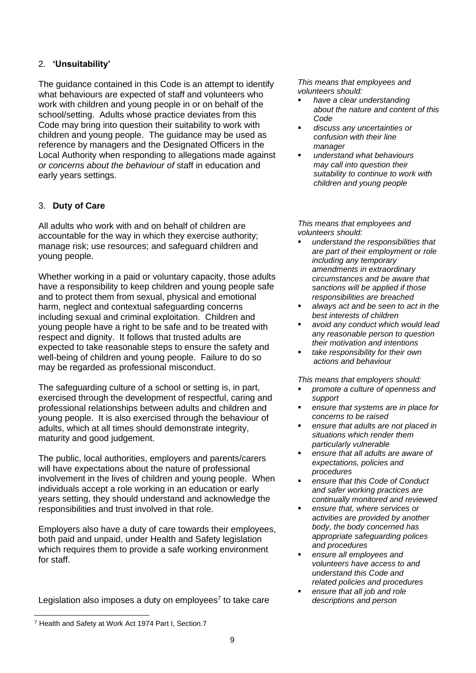# 2. **'Unsuitability'**

The guidance contained in this Code is an attempt to identify what behaviours are expected of staff and volunteers who work with children and young people in or on behalf of the school/setting. Adults whose practice deviates from this Code may bring into question their suitability to work with children and young people. The guidance may be used as reference by managers and the Designated Officers in the Local Authority when responding to allegations made against *or concerns about the behaviour of* staff in education and early years settings.

# 3. **Duty of Care**

All adults who work with and on behalf of children are accountable for the way in which they exercise authority; manage risk; use resources; and safeguard children and young people.

Whether working in a paid or voluntary capacity, those adults have a responsibility to keep children and young people safe and to protect them from sexual, physical and emotional harm, neglect and contextual safeguarding concerns including sexual and criminal exploitation. Children and young people have a right to be safe and to be treated with respect and dignity. It follows that trusted adults are expected to take reasonable steps to ensure the safety and well-being of children and young people. Failure to do so may be regarded as professional misconduct.

The safeguarding culture of a school or setting is, in part, exercised through the development of respectful, caring and professional relationships between adults and children and young people. It is also exercised through the behaviour of adults, which at all times should demonstrate integrity, maturity and good judgement.

The public, local authorities, employers and parents/carers will have expectations about the nature of professional involvement in the lives of children and young people. When individuals accept a role working in an education or early years setting, they should understand and acknowledge the responsibilities and trust involved in that role.

Employers also have a duty of care towards their employees, both paid and unpaid, under Health and Safety legislation which requires them to provide a safe working environment for staff.

Legislation also imposes a duty on employees<sup>7</sup> to take care

*This means that employees and volunteers should:*

- have a clear understanding *about the nature and content of this Code*
- *discuss any uncertainties or confusion with their line manager*
- *understand what behaviours may call into question their suitability to continue to work with children and young people*

*This means that employees and volunteers should:*

- *understand the responsibilities that are part of their employment or role including any temporary amendments in extraordinary circumstances and be aware that sanctions will be applied if those responsibilities are breached*
- *always act and be seen to act in the best interests of children*
- *avoid any conduct which would lead any reasonable person to question their motivation and intentions*
- *take responsibility for their own actions and behaviour*

*This means that employers should:*

- *promote a culture of openness and support*
- ensure that systems are in place for *concerns to be raised*
- ensure that adults are not placed in *situations which render them particularly vulnerable*
- ensure *that all adults are aware of expectations, policies and procedures*
- *ensure that this Code of Conduct and safer working practices are continually monitored and reviewed*
- ensure *that, where services or activities are provided by another body, the body concerned has appropriate safeguarding polices and procedures*
- ensure all employees and *volunteers have access to and understand this Code and related policies and procedures*
- ensure that all job and role *descriptions and person*

<sup>7</sup> Health and Safety at Work Act 1974 Part I, Section.7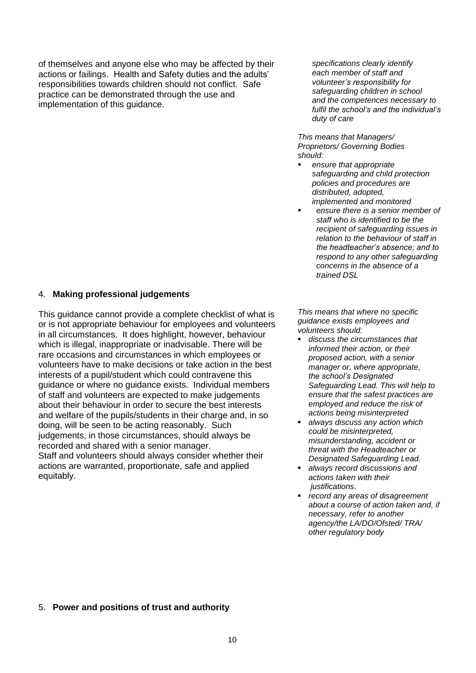of themselves and anyone else who may be affected by their actions or failings. Health and Safety duties and the adults' responsibilities towards children should not conflict. Safe practice can be demonstrated through the use and implementation of this guidance.

*specifications clearly identify each member of staff and volunteer's responsibility for safeguarding children in school and the competences necessary to fulfil the school's and the individual's duty of care*

*This means that Managers/ Proprietors/ Governing Bodies should:* 

- *ensure that appropriate safeguarding and child protection policies and procedures are distributed, adopted, implemented and monitored* 
	- ensure there is a senior member of *staff who is identified to be the recipient of safeguarding issues in relation to the behaviour of staff in the headteacher's absence; and to respond to any other safeguarding concerns in the absence of a trained DSL*

#### 4. **Making professional judgements**

This guidance cannot provide a complete checklist of what is or is not appropriate behaviour for employees and volunteers in all circumstances. It does highlight, however, behaviour which is illegal, inappropriate or inadvisable. There will be rare occasions and circumstances in which employees or volunteers have to make decisions or take action in the best interests of a pupil/student which could contravene this guidance or where no guidance exists. Individual members of staff and volunteers are expected to make judgements about their behaviour in order to secure the best interests and welfare of the pupils/students in their charge and, in so doing, will be seen to be acting reasonably. Such judgements, in those circumstances, should always be recorded and shared with a senior manager. Staff and volunteers should always consider whether their actions are warranted, proportionate, safe and applied equitably.

*This means that where no specific guidance exists employees and volunteers should:*

- *discuss the circumstances that informed their action, or their proposed action, with a senior manager or, where appropriate, the school's Designated Safeguarding Lead. This will help to ensure that the safest practices are employed and reduce the risk of actions being misinterpreted*
- *always discuss any action which could be misinterpreted, misunderstanding, accident or threat with the Headteacher or Designated Safeguarding Lead.*
- *always record discussions and actions taken with their justifications.*
- *record any areas of disagreement about a course of action taken and, if necessary, refer to another agency/the LA/DO/Ofsted/ TRA/ other regulatory body*

#### 5. **Power and positions of trust and authority**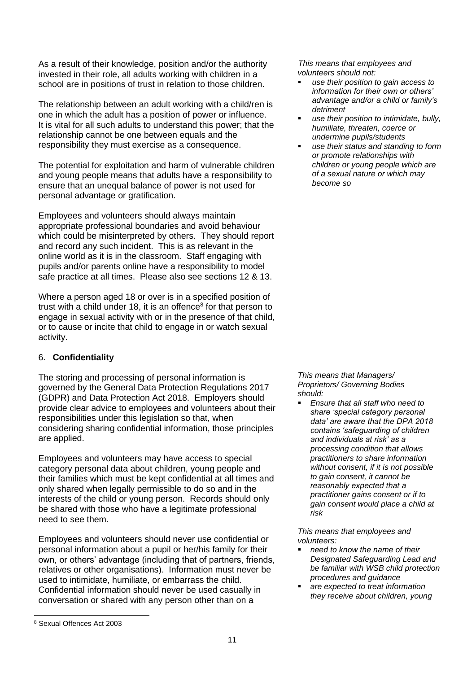As a result of their knowledge, position and/or the authority invested in their role, all adults working with children in a school are in positions of trust in relation to those children.

The relationship between an adult working with a child/ren is one in which the adult has a position of power or influence. It is vital for all such adults to understand this power; that the relationship cannot be one between equals and the responsibility they must exercise as a consequence.

The potential for exploitation and harm of vulnerable children and young people means that adults have a responsibility to ensure that an unequal balance of power is not used for personal advantage or gratification.

Employees and volunteers should always maintain appropriate professional boundaries and avoid behaviour which could be misinterpreted by others. They should report and record any such incident. This is as relevant in the online world as it is in the classroom. Staff engaging with pupils and/or parents online have a responsibility to model safe practice at all times. Please also see sections 12 & 13.

Where a person aged 18 or over is in a specified position of trust with a child under 18, it is an offence<sup>8</sup> for that person to engage in sexual activity with or in the presence of that child, or to cause or incite that child to engage in or watch sexual activity.

# 6. **Confidentiality**

The storing and processing of personal information is governed by the General Data Protection Regulations 2017 (GDPR) and Data Protection Act 2018. Employers should provide clear advice to employees and volunteers about their responsibilities under this legislation so that, when considering sharing confidential information, those principles are applied.

Employees and volunteers may have access to special category personal data about children, young people and their families which must be kept confidential at all times and only shared when legally permissible to do so and in the interests of the child or young person. Records should only be shared with those who have a legitimate professional need to see them.

Employees and volunteers should never use confidential or personal information about a pupil or her/his family for their own, or others' advantage (including that of partners, friends, relatives or other organisations). Information must never be used to intimidate, humiliate, or embarrass the child. Confidential information should never be used casually in conversation or shared with any person other than on a

*This means that employees and volunteers should not:*

- *use their position to gain access to information for their own or others' advantage and/or a child or family's detriment*
- *use their position to intimidate, bully, humiliate, threaten, coerce or undermine pupils/students*
- use their status and standing to form *or promote relationships with children or young people which are of a sexual nature or which may become so*

#### *This means that Managers/ Proprietors/ Governing Bodies should:*

*Ensure that all staff who need to share 'special category personal data' are aware that the DPA 2018 contains 'safeguarding of children and individuals at risk' as a processing condition that allows practitioners to share information without consent, if it is not possible to gain consent, it cannot be reasonably expected that a practitioner gains consent or if to gain consent would place a child at risk* 

*This means that employees and volunteers:*

- *need to know the name of their Designated Safeguarding Lead and be familiar with WSB child protection procedures and guidance*
- *are expected to treat information they receive about children, young*

<sup>8</sup> Sexual Offences Act 2003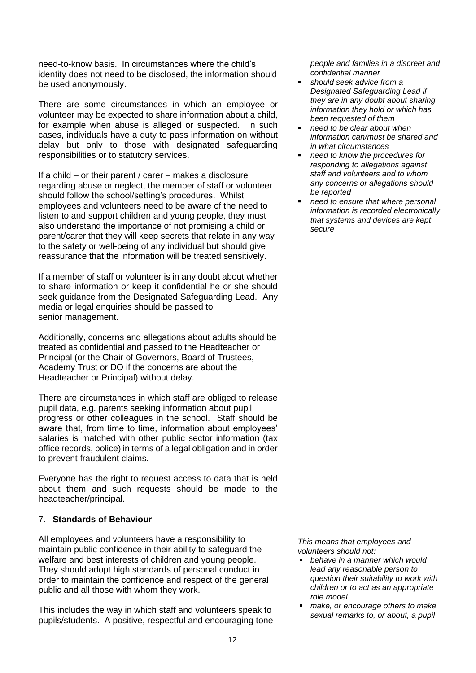need-to-know basis. In circumstances where the child's identity does not need to be disclosed, the information should be used anonymously.

There are some circumstances in which an employee or volunteer may be expected to share information about a child, for example when abuse is alleged or suspected. In such cases, individuals have a duty to pass information on without delay but only to those with designated safeguarding responsibilities or to statutory services.

If a child – or their parent / carer – makes a disclosure regarding abuse or neglect, the member of staff or volunteer should follow the school/setting's procedures. Whilst employees and volunteers need to be aware of the need to listen to and support children and young people, they must also understand the importance of not promising a child or parent/carer that they will keep secrets that relate in any way to the safety or well-being of any individual but should give reassurance that the information will be treated sensitively.

If a member of staff or volunteer is in any doubt about whether to share information or keep it confidential he or she should seek guidance from the Designated Safeguarding Lead. Any media or legal enquiries should be passed to senior management.

Additionally, concerns and allegations about adults should be treated as confidential and passed to the Headteacher or Principal (or the Chair of Governors, Board of Trustees, Academy Trust or DO if the concerns are about the Headteacher or Principal) without delay.

There are circumstances in which staff are obliged to release pupil data, e.g. parents seeking information about pupil progress or other colleagues in the school. Staff should be aware that, from time to time, information about employees' salaries is matched with other public sector information (tax office records, police) in terms of a legal obligation and in order to prevent fraudulent claims.

Everyone has the right to request access to data that is held about them and such requests should be made to the headteacher/principal.

# 7. **Standards of Behaviour**

All employees and volunteers have a responsibility to maintain public confidence in their ability to safeguard the welfare and best interests of children and young people. They should adopt high standards of personal conduct in order to maintain the confidence and respect of the general public and all those with whom they work.

This includes the way in which staff and volunteers speak to pupils/students. A positive, respectful and encouraging tone *people and families in a discreet and confidential manner*

- *should seek advice from a Designated Safeguarding Lead if they are in any doubt about sharing information they hold or which has been requested of them*
- *need to be clear about when information can/must be shared and in what circumstances*
- *need to know the procedures for responding to allegations against staff and volunteers and to whom any concerns or allegations should be reported*
- *need to ensure that where personal information is recorded electronically that systems and devices are kept secure*

*This means that employees and volunteers should not:*

- behave in a manner which would *lead any reasonable person to question their suitability to work with children or to act as an appropriate role model*
- make, or encourage others to make *sexual remarks to, or about, a pupil*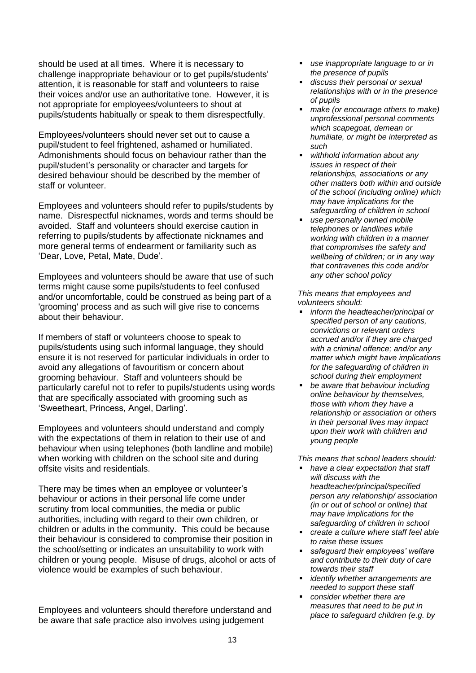should be used at all times. Where it is necessary to challenge inappropriate behaviour or to get pupils/students' attention, it is reasonable for staff and volunteers to raise their voices and/or use an authoritative tone. However, it is not appropriate for employees/volunteers to shout at pupils/students habitually or speak to them disrespectfully.

Employees/volunteers should never set out to cause a pupil/student to feel frightened, ashamed or humiliated. Admonishments should focus on behaviour rather than the pupil/student's personality or character and targets for desired behaviour should be described by the member of staff or volunteer.

Employees and volunteers should refer to pupils/students by name. Disrespectful nicknames, words and terms should be avoided. Staff and volunteers should exercise caution in referring to pupils/students by affectionate nicknames and more general terms of endearment or familiarity such as 'Dear, Love, Petal, Mate, Dude'.

Employees and volunteers should be aware that use of such terms might cause some pupils/students to feel confused and/or uncomfortable, could be construed as being part of a 'grooming' process and as such will give rise to concerns about their behaviour.

If members of staff or volunteers choose to speak to pupils/students using such informal language, they should ensure it is not reserved for particular individuals in order to avoid any allegations of favouritism or concern about grooming behaviour. Staff and volunteers should be particularly careful not to refer to pupils/students using words that are specifically associated with grooming such as 'Sweetheart, Princess, Angel, Darling'.

Employees and volunteers should understand and comply with the expectations of them in relation to their use of and behaviour when using telephones (both landline and mobile) when working with children on the school site and during offsite visits and residentials.

There may be times when an employee or volunteer's behaviour or actions in their personal life come under scrutiny from local communities, the media or public authorities, including with regard to their own children, or children or adults in the community. This could be because their behaviour is considered to compromise their position in the school/setting or indicates an unsuitability to work with children or young people. Misuse of drugs, alcohol or acts of violence would be examples of such behaviour.

Employees and volunteers should therefore understand and be aware that safe practice also involves using judgement

- *use inappropriate language to or in the presence of pupils*
- *discuss their personal or sexual relationships with or in the presence of pupils*
- *make (or encourage others to make) unprofessional personal comments which scapegoat, demean or humiliate, or might be interpreted as such*
- *withhold information about any issues in respect of their relationships, associations or any other matters both within and outside of the school (including online) which may have implications for the safeguarding of children in school*
- *use personally owned mobile telephones or landlines while working with children in a manner that compromises the safety and wellbeing of children; or in any way that contravenes this code and/or any other school policy*

*This means that employees and volunteers should:* 

- *inform the headteacher/principal or specified person of any cautions, convictions or relevant orders accrued and/or if they are charged with a criminal offence; and/or any matter which might have implications for the safeguarding of children in school during their employment*
- *be aware that behaviour including online behaviour by themselves, those with whom they have a relationship or association or others in their personal lives may impact upon their work with children and young people*

*This means that school leaders should:* 

- *have a clear expectation that staff will discuss with the headteacher/principal/specified person any relationship/ association (in or out of school or online) that may have implications for the safeguarding of children in school*
- *create a culture where staff feel able to raise these issues*
- *safeguard their employees' welfare and contribute to their duty of care towards their staff*
- *identify whether arrangements are needed to support these staff*
- *consider whether there are measures that need to be put in place to safeguard children (e.g. by*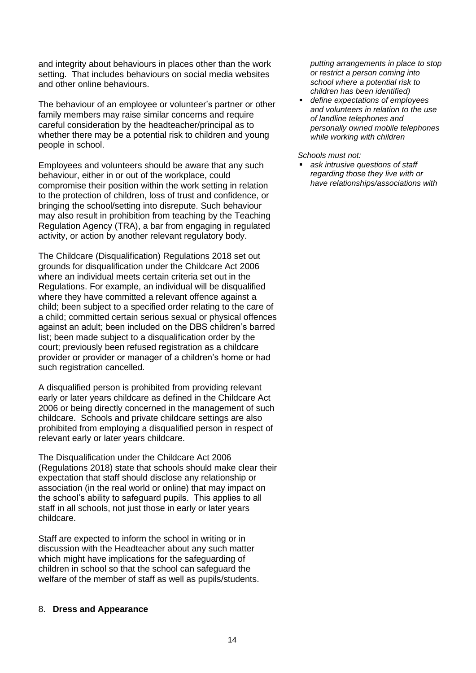and integrity about behaviours in places other than the work setting. That includes behaviours on social media websites and other online behaviours.

The behaviour of an employee or volunteer's partner or other family members may raise similar concerns and require careful consideration by the headteacher/principal as to whether there may be a potential risk to children and young people in school.

Employees and volunteers should be aware that any such behaviour, either in or out of the workplace, could compromise their position within the work setting in relation to the protection of children, loss of trust and confidence, or bringing the school/setting into disrepute. Such behaviour may also result in prohibition from teaching by the Teaching Regulation Agency (TRA), a bar from engaging in regulated activity, or action by another relevant regulatory body.

The Childcare (Disqualification) Regulations 2018 set out grounds for disqualification under the Childcare Act 2006 where an individual meets certain criteria set out in the Regulations. For example, an individual will be disqualified where they have committed a relevant offence against a child; been subject to a specified order relating to the care of a child; committed certain serious sexual or physical offences against an adult; been included on the DBS children's barred list; been made subject to a disqualification order by the court; previously been refused registration as a childcare provider or provider or manager of a children's home or had such registration cancelled*.*

A disqualified person is prohibited from providing relevant early or later years childcare as defined in the Childcare Act 2006 or being directly concerned in the management of such childcare. Schools and private childcare settings are also prohibited from employing a disqualified person in respect of relevant early or later years childcare.

The Disqualification under the Childcare Act 2006 (Regulations 2018) state that schools should make clear their expectation that staff should disclose any relationship or association (in the real world or online) that may impact on the school's ability to safeguard pupils. This applies to all staff in all schools, not just those in early or later years childcare.

Staff are expected to inform the school in writing or in discussion with the Headteacher about any such matter which might have implications for the safeguarding of children in school so that the school can safeguard the welfare of the member of staff as well as pupils/students.

#### 8. **Dress and Appearance**

*putting arrangements in place to stop or restrict a person coming into school where a potential risk to children has been identified)* 

▪ *define expectations of employees and volunteers in relation to the use of landline telephones and personally owned mobile telephones while working with children*

*Schools must not:*

■ *ask intrusive questions of staff regarding those they live with or have relationships/associations with*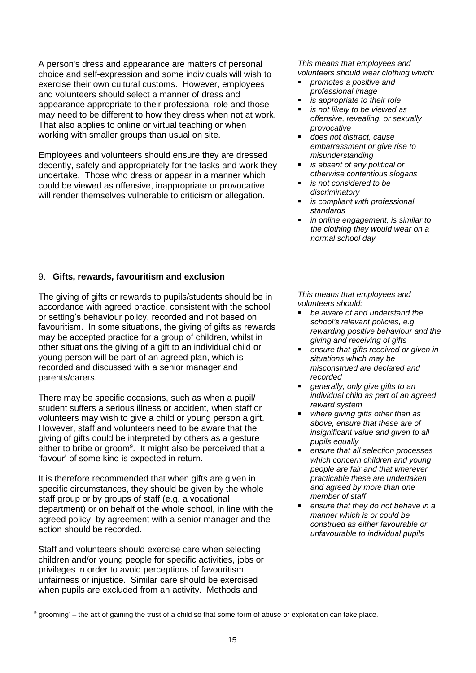A person's dress and appearance are matters of personal choice and self-expression and some individuals will wish to exercise their own cultural customs. However, employees and volunteers should select a manner of dress and appearance appropriate to their professional role and those may need to be different to how they dress when not at work. That also applies to online or virtual teaching or when working with smaller groups than usual on site.

Employees and volunteers should ensure they are dressed decently, safely and appropriately for the tasks and work they undertake. Those who dress or appear in a manner which could be viewed as offensive, inappropriate or provocative will render themselves vulnerable to criticism or allegation.

# 9. **Gifts, rewards, favouritism and exclusion**

The giving of gifts or rewards to pupils/students should be in accordance with agreed practice, consistent with the school or setting's behaviour policy, recorded and not based on favouritism. In some situations, the giving of gifts as rewards may be accepted practice for a group of children, whilst in other situations the giving of a gift to an individual child or young person will be part of an agreed plan, which is recorded and discussed with a senior manager and parents/carers.

There may be specific occasions, such as when a pupil/ student suffers a serious illness or accident, when staff or volunteers may wish to give a child or young person a gift. However, staff and volunteers need to be aware that the giving of gifts could be interpreted by others as a gesture either to bribe or groom<sup>9</sup>. It might also be perceived that a 'favour' of some kind is expected in return.

It is therefore recommended that when gifts are given in specific circumstances, they should be given by the whole staff group or by groups of staff (e.g. a vocational department) or on behalf of the whole school, in line with the agreed policy, by agreement with a senior manager and the action should be recorded.

Staff and volunteers should exercise care when selecting children and/or young people for specific activities, jobs or privileges in order to avoid perceptions of favouritism, unfairness or injustice. Similar care should be exercised when pupils are excluded from an activity. Methods and

*This means that employees and volunteers should wear clothing which:*

- *promotes a positive and professional image*
- is appropriate to their role
- $i$ *s not likely to be viewed as offensive, revealing, or sexually provocative*
- *does not distract, cause embarrassment or give rise to misunderstanding*
- *is absent of any political or otherwise contentious slogans*
- $i$ s not considered to be *discriminatory*
- $is$  *compliant with professional standards*
- *in online engagement, is similar to the clothing they would wear on a normal school day*

*This means that employees and volunteers should:* 

- be aware of and understand the *school's relevant policies, e.g. rewarding positive behaviour and the giving and receiving of gifts*
- ensure that gifts received or given in *situations which may be misconstrued are declared and recorded*
- generally, only give gifts to an *individual child as part of an agreed reward system*
- *where giving gifts other than as above, ensure that these are of insignificant value and given to all pupils equally*
- *ensure that all selection processes which concern children and young people are fair and that wherever practicable these are undertaken and agreed by more than one member of staff*
- *ensure that they do not behave in a manner which is or could be construed as either favourable or unfavourable to individual pupils*

 $9$  grooming' – the act of gaining the trust of a child so that some form of abuse or exploitation can take place.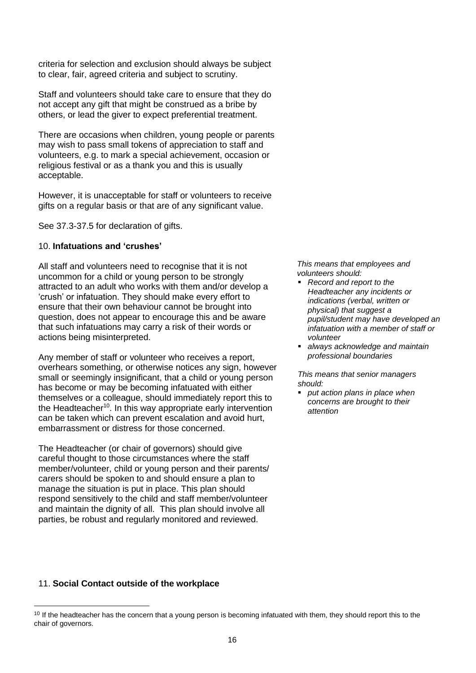criteria for selection and exclusion should always be subject to clear, fair, agreed criteria and subject to scrutiny.

Staff and volunteers should take care to ensure that they do not accept any gift that might be construed as a bribe by others, or lead the giver to expect preferential treatment.

There are occasions when children, young people or parents may wish to pass small tokens of appreciation to staff and volunteers, e.g. to mark a special achievement, occasion or religious festival or as a thank you and this is usually acceptable.

However, it is unacceptable for staff or volunteers to receive gifts on a regular basis or that are of any significant value.

See 37.3-37.5 for declaration of gifts.

#### 10. **Infatuations and 'crushes'**

All staff and volunteers need to recognise that it is not uncommon for a child or young person to be strongly attracted to an adult who works with them and/or develop a 'crush' or infatuation. They should make every effort to ensure that their own behaviour cannot be brought into question, does not appear to encourage this and be aware that such infatuations may carry a risk of their words or actions being misinterpreted.

Any member of staff or volunteer who receives a report, overhears something, or otherwise notices any sign, however small or seemingly insignificant, that a child or young person has become or may be becoming infatuated with either themselves or a colleague, should immediately report this to the Headteacher<sup>10</sup>. In this way appropriate early intervention can be taken which can prevent escalation and avoid hurt, embarrassment or distress for those concerned.

The Headteacher (or chair of governors) should give careful thought to those circumstances where the staff member/volunteer, child or young person and their parents/ carers should be spoken to and should ensure a plan to manage the situation is put in place. This plan should respond sensitively to the child and staff member/volunteer and maintain the dignity of all. This plan should involve all parties, be robust and regularly monitored and reviewed.

*This means that employees and volunteers should:*

- *Record and report to the Headteacher any incidents or indications (verbal, written or physical) that suggest a pupil/student may have developed an infatuation with a member of staff or volunteer*
- *always acknowledge and maintain professional boundaries*

*This means that senior managers should:* 

put action plans in place when *concerns are brought to their attention* 

# 11. **Social Contact outside of the workplace**

 $10$  If the headteacher has the concern that a young person is becoming infatuated with them, they should report this to the chair of governors.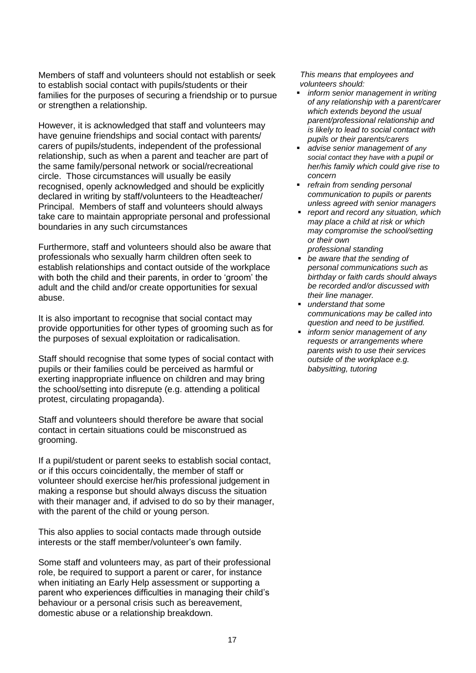Members of staff and volunteers should not establish or seek to establish social contact with pupils/students or their families for the purposes of securing a friendship or to pursue or strengthen a relationship.

However, it is acknowledged that staff and volunteers may have genuine friendships and social contact with parents/ carers of pupils/students, independent of the professional relationship, such as when a parent and teacher are part of the same family/personal network or social/recreational circle. Those circumstances will usually be easily recognised, openly acknowledged and should be explicitly declared in writing by staff/volunteers to the Headteacher/ Principal. Members of staff and volunteers should always take care to maintain appropriate personal and professional boundaries in any such circumstances

Furthermore, staff and volunteers should also be aware that professionals who sexually harm children often seek to establish relationships and contact outside of the workplace with both the child and their parents, in order to 'groom' the adult and the child and/or create opportunities for sexual abuse.

It is also important to recognise that social contact may provide opportunities for other types of grooming such as for the purposes of sexual exploitation or radicalisation.

Staff should recognise that some types of social contact with pupils or their families could be perceived as harmful or exerting inappropriate influence on children and may bring the school/setting into disrepute (e.g. attending a political protest, circulating propaganda).

Staff and volunteers should therefore be aware that social contact in certain situations could be misconstrued as grooming.

If a pupil/student or parent seeks to establish social contact, or if this occurs coincidentally, the member of staff or volunteer should exercise her/his professional judgement in making a response but should always discuss the situation with their manager and, if advised to do so by their manager, with the parent of the child or young person.

This also applies to social contacts made through outside interests or the staff member/volunteer's own family.

Some staff and volunteers may, as part of their professional role, be required to support a parent or carer, for instance when initiating an Early Help assessment or supporting a parent who experiences difficulties in managing their child's behaviour or a personal crisis such as bereavement, domestic abuse or a relationship breakdown.

*This means that employees and volunteers should:*

- *inform senior management in writing of any relationship with a parent/carer which extends beyond the usual parent/professional relationship and is likely to lead to social contact with pupils or their parents/carers*
- *advise senior management of any social contact they have with a pupil or her/his family which could give rise to concern*
- *refrain from sending personal communication to pupils or parents unless agreed with senior managers*
- *report and record any situation, which may place a child at risk or which may compromise the school/setting or their own*
- *professional standing*
- *be aware that the sending of personal communications such as birthday or faith cards should always be recorded and/or discussed with their line manager.*
- *understand that some communications may be called into question and need to be justified.*
- inform senior management of any *requests or arrangements where parents wish to use their services outside of the workplace e.g. babysitting, tutoring*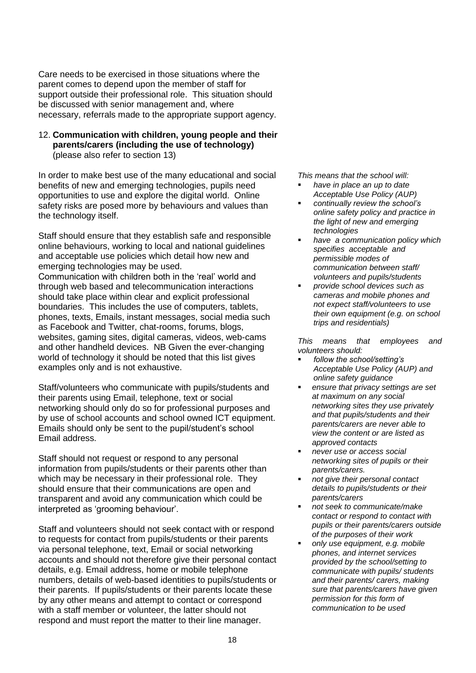Care needs to be exercised in those situations where the parent comes to depend upon the member of staff for support outside their professional role. This situation should be discussed with senior management and, where necessary, referrals made to the appropriate support agency.

#### 12. **Communication with children, young people and their parents/carers (including the use of technology)** (please also refer to section 13)

In order to make best use of the many educational and social benefits of new and emerging technologies, pupils need opportunities to use and explore the digital world. Online safety risks are posed more by behaviours and values than the technology itself.

Staff should ensure that they establish safe and responsible online behaviours, working to local and national guidelines and acceptable use policies which detail how new and emerging technologies may be used. Communication with children both in the 'real' world and through web based and telecommunication interactions should take place within clear and explicit professional boundaries. This includes the use of computers, tablets, phones, texts, Emails, instant messages, social media such as Facebook and Twitter, chat-rooms, forums, blogs, websites, gaming sites, digital cameras, videos, web-cams and other handheld devices. NB Given the ever-changing world of technology it should be noted that this list gives examples only and is not exhaustive.

Staff/volunteers who communicate with pupils/students and their parents using Email, telephone, text or social networking should only do so for professional purposes and by use of school accounts and school owned ICT equipment. Emails should only be sent to the pupil/student's school Email address.

Staff should not request or respond to any personal information from pupils/students or their parents other than which may be necessary in their professional role. They should ensure that their communications are open and transparent and avoid any communication which could be interpreted as 'grooming behaviour'.

Staff and volunteers should not seek contact with or respond to requests for contact from pupils/students or their parents via personal telephone, text, Email or social networking accounts and should not therefore give their personal contact details, e.g. Email address, home or mobile telephone numbers, details of web-based identities to pupils/students or their parents. If pupils/students or their parents locate these by any other means and attempt to contact or correspond with a staff member or volunteer, the latter should not respond and must report the matter to their line manager.

*This means that the school will:*

- have in place an up to date *Acceptable Use Policy (AUP)*
- *continually review the school's online safety policy and practice in the light of new and emerging technologies*
- have a communication policy which *specifies acceptable and permissible modes of communication between staff/ volunteers and pupils/students*
- *provide school devices such as cameras and mobile phones and not expect staff/volunteers to use their own equipment (e.g. on school trips and residentials)*

*This means that employees and volunteers should:*

- *follow the school/setting's Acceptable Use Policy (AUP) and online safety guidance*
- *ensure that privacy settings are set at maximum on any social networking sites they use privately and that pupils/students and their parents/carers are never able to view the content or are listed as approved contacts*
- *never use or access social networking sites of pupils or their parents/carers.*
- *not give their personal contact details to pupils/students or their parents/carers*
- *not seek to communicate/make contact or respond to contact with pupils or their parents/carers outside of the purposes of their work*
- *only use equipment, e.g. mobile phones, and internet services provided by the school/setting to communicate with pupils/ students and their parents/ carers, making sure that parents/carers have given permission for this form of communication to be used*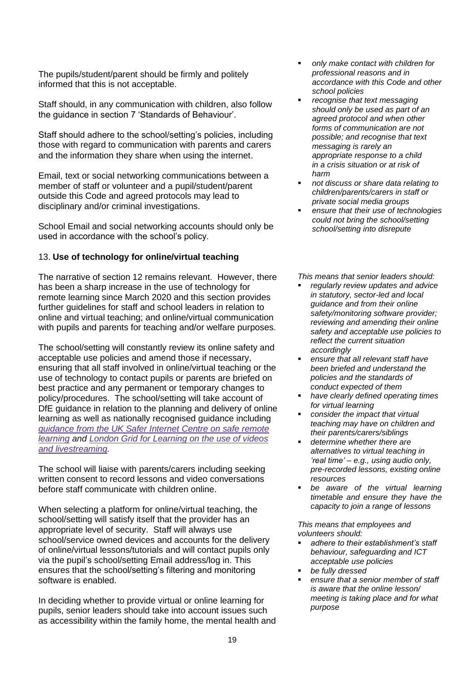The pupils/student/parent should be firmly and politely informed that this is not acceptable.

Staff should, in any communication with children, also follow the guidance in section 7 'Standards of Behaviour'.

Staff should adhere to the school/setting's policies, including those with regard to communication with parents and carers and the information they share when using the internet.

Email, text or social networking communications between a member of staff or volunteer and a pupil/student/parent outside this Code and agreed protocols may lead to disciplinary and/or criminal investigations.

School Email and social networking accounts should only be used in accordance with the school's policy.

# 13. **Use of technology for online/virtual teaching**

The narrative of section 12 remains relevant. However, there has been a sharp increase in the use of technology for remote learning since March 2020 and this section provides further guidelines for staff and school leaders in relation to online and virtual teaching; and online/virtual communication with pupils and parents for teaching and/or welfare purposes.

The school/setting will constantly review its online safety and acceptable use policies and amend those if necessary, ensuring that all staff involved in online/virtual teaching or the use of technology to contact pupils or parents are briefed on best practice and any permanent or temporary changes to policy/procedures. The school/setting will take account of DfE guidance in relation to the planning and delivery of online learning as well as nationally recognised guidance including *[guidance](https://swgfl.org.uk/resources/safe-remote-learning/) from the UK Safer Internet Centre on safe remote [learning](https://swgfl.org.uk/resources/safe-remote-learning/) and London Grid for [Learning](https://static.lgfl.net/LgflNet/downloads/digisafe/Safe-Lessons-by-Video-and-Livestream.pdf) on the use of videos and [livestreaming.](https://static.lgfl.net/LgflNet/downloads/digisafe/Safe-Lessons-by-Video-and-Livestream.pdf)*

The school will liaise with parents/carers including seeking written consent to record lessons and video conversations before staff communicate with children online.

When selecting a platform for online/virtual teaching, the school/setting will satisfy itself that the provider has an appropriate level of security. Staff will always use school/service owned devices and accounts for the delivery of online/virtual lessons/tutorials and will contact pupils only via the pupil's school/setting Email address/log in. This ensures that the school/setting's filtering and monitoring software is enabled.

In deciding whether to provide virtual or online learning for pupils, senior leaders should take into account issues such as accessibility within the family home, the mental health and

- *only make contact with children for professional reasons and in accordance with this Code and other school policies*
- *recognise that text messaging should only be used as part of an agreed protocol and when other forms of communication are not possible; and recognise that text messaging is rarely an appropriate response to a child in a crisis situation or at risk of harm*
- *not discuss or share data relating to children/parents/carers in staff or private social media groups*
- *ensure that their use of technologies could not bring the school/setting school/setting into disrepute*

*This means that senior leaders should:* 

- *regularly review updates and advice in statutory, sector-led and local guidance and from their online safety/monitoring software provider; reviewing and amending their online safety and acceptable use policies to reflect the current situation accordingly*
- *ensure that all relevant staff have been briefed and understand the policies and the standards of conduct expected of them*
- *have clearly defined operating times for virtual learning*
- *consider the impact that virtual teaching may have on children and their parents/carers/siblings*
- *determine whether there are alternatives to virtual teaching in 'real time' – e.g., using audio only, pre-recorded lessons, existing online resources*
- be aware of the virtual learning *timetable and ensure they have the capacity to join a range of lessons*

*This means that employees and volunteers should:* 

- *adhere to their establishment's staff behaviour, safeguarding and ICT acceptable use policies*
- be fully dressed
- ensure that a senior member of staff *is aware that the online lesson/ meeting is taking place and for what purpose*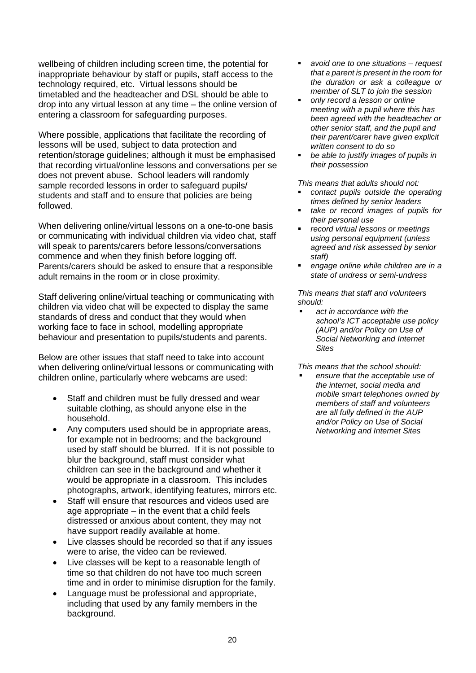wellbeing of children including screen time, the potential for inappropriate behaviour by staff or pupils, staff access to the technology required, etc. Virtual lessons should be timetabled and the headteacher and DSL should be able to drop into any virtual lesson at any time – the online version of entering a classroom for safeguarding purposes.

Where possible, applications that facilitate the recording of lessons will be used, subject to data protection and retention/storage guidelines; although it must be emphasised that recording virtual/online lessons and conversations per se does not prevent abuse. School leaders will randomly sample recorded lessons in order to safeguard pupils/ students and staff and to ensure that policies are being followed.

When delivering online/virtual lessons on a one-to-one basis or communicating with individual children via video chat, staff will speak to parents/carers before lessons/conversations commence and when they finish before logging off. Parents/carers should be asked to ensure that a responsible adult remains in the room or in close proximity.

Staff delivering online/virtual teaching or communicating with children via video chat will be expected to display the same standards of dress and conduct that they would when working face to face in school, modelling appropriate behaviour and presentation to pupils/students and parents.

Below are other issues that staff need to take into account when delivering online/virtual lessons or communicating with children online, particularly where webcams are used:

- Staff and children must be fully dressed and wear suitable clothing, as should anyone else in the household.
- Any computers used should be in appropriate areas, for example not in bedrooms; and the background used by staff should be blurred. If it is not possible to blur the background, staff must consider what children can see in the background and whether it would be appropriate in a classroom. This includes photographs, artwork, identifying features, mirrors etc.
- Staff will ensure that resources and videos used are age appropriate – in the event that a child feels distressed or anxious about content, they may not have support readily available at home.
- Live classes should be recorded so that if any issues were to arise, the video can be reviewed.
- Live classes will be kept to a reasonable length of time so that children do not have too much screen time and in order to minimise disruption for the family.
- Language must be professional and appropriate, including that used by any family members in the background.
- *avoid one to one situations – request that a parent is present in the room for the duration or ask a colleague or member of SLT to join the session*
- *only record a lesson or online meeting with a pupil where this has been agreed with the headteacher or other senior staff, and the pupil and their parent/carer have given explicit written consent to do so*
- be able to justify images of pupils in *their possession*

*This means that adults should not:* 

- *contact pupils outside the operating times defined by senior leaders*
- *take or record images of pupils for their personal use*
- *record virtual lessons or meetings using personal equipment (unless agreed and risk assessed by senior staff)*
- engage online while children are in a *state of undress or semi-undress*

*This means that staff and volunteers should:*

act in accordance with the *school's ICT acceptable use policy (AUP) and/or Policy on Use of Social Networking and Internet Sites*

*This means that the school should:*

ensure that the acceptable use of *the internet, social media and mobile smart telephones owned by members of staff and volunteers are all fully defined in the AUP and/or Policy on Use of Social Networking and Internet Sites*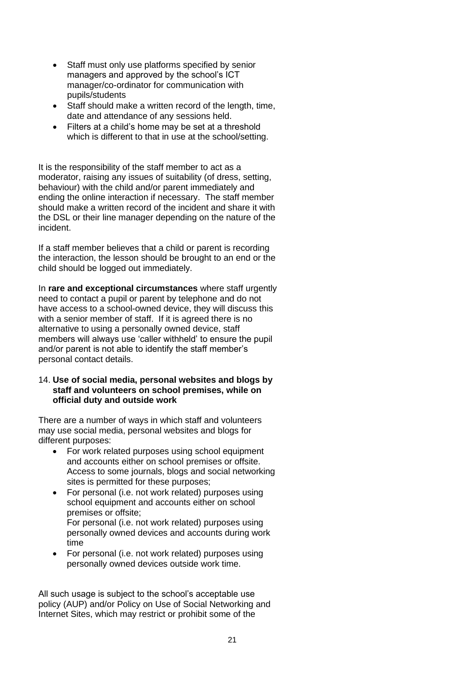- Staff must only use platforms specified by senior managers and approved by the school's ICT manager/co-ordinator for communication with pupils/students
- Staff should make a written record of the length, time, date and attendance of any sessions held.
- Filters at a child's home may be set at a threshold which is different to that in use at the school/setting.

It is the responsibility of the staff member to act as a moderator, raising any issues of suitability (of dress, setting, behaviour) with the child and/or parent immediately and ending the online interaction if necessary. The staff member should make a written record of the incident and share it with the DSL or their line manager depending on the nature of the incident.

If a staff member believes that a child or parent is recording the interaction, the lesson should be brought to an end or the child should be logged out immediately.

In **rare and exceptional circumstances** where staff urgently need to contact a pupil or parent by telephone and do not have access to a school-owned device, they will discuss this with a senior member of staff. If it is agreed there is no alternative to using a personally owned device, staff members will always use 'caller withheld' to ensure the pupil and/or parent is not able to identify the staff member's personal contact details.

## 14. **Use of social media, personal websites and blogs by staff and volunteers on school premises, while on official duty and outside work**

There are a number of ways in which staff and volunteers may use social media, personal websites and blogs for different purposes:

- For work related purposes using school equipment and accounts either on school premises or offsite. Access to some journals, blogs and social networking sites is permitted for these purposes;
- For personal (i.e. not work related) purposes using school equipment and accounts either on school premises or offsite; For personal (i.e. not work related) purposes using personally owned devices and accounts during work time
- For personal (i.e. not work related) purposes using personally owned devices outside work time.

All such usage is subject to the school's acceptable use policy (AUP) and/or Policy on Use of Social Networking and Internet Sites, which may restrict or prohibit some of the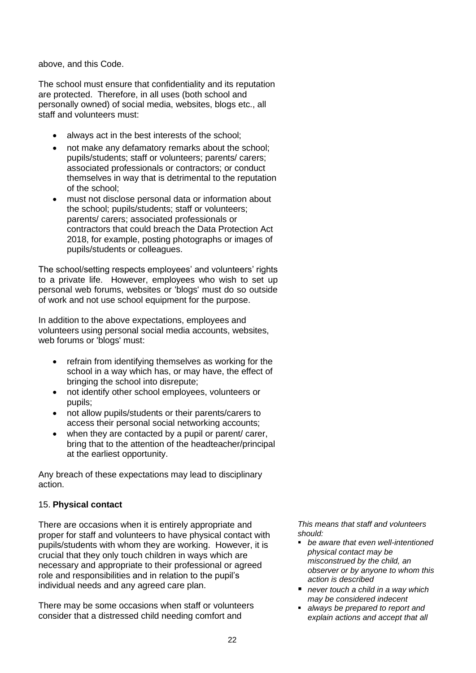above, and this Code.

The school must ensure that confidentiality and its reputation are protected. Therefore, in all uses (both school and personally owned) of social media, websites, blogs etc., all staff and volunteers must:

- always act in the best interests of the school;
- not make any defamatory remarks about the school; pupils/students; staff or volunteers; parents/ carers; associated professionals or contractors; or conduct themselves in way that is detrimental to the reputation of the school;
- must not disclose personal data or information about the school; pupils/students; staff or volunteers; parents/ carers; associated professionals or contractors that could breach the Data Protection Act 2018, for example, posting photographs or images of pupils/students or colleagues.

The school/setting respects employees' and volunteers' rights to a private life. However, employees who wish to set up personal web forums, websites or 'blogs' must do so outside of work and not use school equipment for the purpose.

In addition to the above expectations, employees and volunteers using personal social media accounts, websites, web forums or 'blogs' must:

- refrain from identifying themselves as working for the school in a way which has, or may have, the effect of bringing the school into disrepute;
- not identify other school employees, volunteers or pupils;
- not allow pupils/students or their parents/carers to access their personal social networking accounts;
- when they are contacted by a pupil or parent/ carer, bring that to the attention of the headteacher/principal at the earliest opportunity.

Any breach of these expectations may lead to disciplinary action.

# 15. **Physical contact**

There are occasions when it is entirely appropriate and proper for staff and volunteers to have physical contact with pupils/students with whom they are working. However, it is crucial that they only touch children in ways which are necessary and appropriate to their professional or agreed role and responsibilities and in relation to the pupil's individual needs and any agreed care plan.

There may be some occasions when staff or volunteers consider that a distressed child needing comfort and

- *be aware that even well-intentioned physical contact may be misconstrued by the child, an observer or by anyone to whom this action is described*
- *never touch a child in a way which may be considered indecent*
- *always be prepared to report and explain actions and accept that all*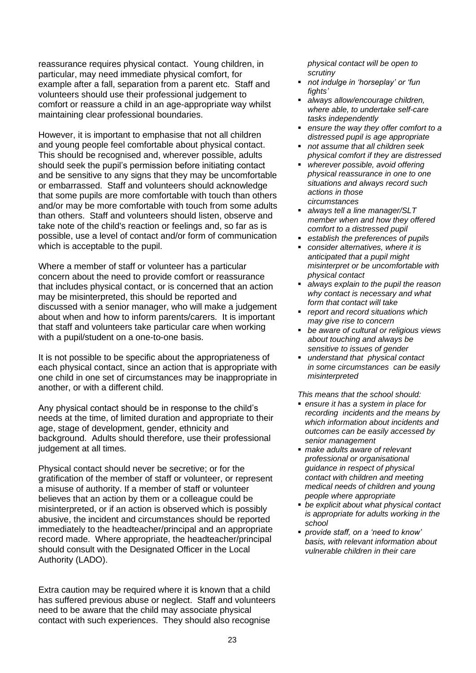reassurance requires physical contact. Young children, in particular, may need immediate physical comfort, for example after a fall, separation from a parent etc. Staff and volunteers should use their professional judgement to comfort or reassure a child in an age-appropriate way whilst maintaining clear professional boundaries.

However, it is important to emphasise that not all children and young people feel comfortable about physical contact. This should be recognised and, wherever possible, adults should seek the pupil's permission before initiating contact and be sensitive to any signs that they may be uncomfortable or embarrassed. Staff and volunteers should acknowledge that some pupils are more comfortable with touch than others and/or may be more comfortable with touch from some adults than others. Staff and volunteers should listen, observe and take note of the child's reaction or feelings and, so far as is possible, use a level of contact and/or form of communication which is acceptable to the pupil.

Where a member of staff or volunteer has a particular concern about the need to provide comfort or reassurance that includes physical contact, or is concerned that an action may be misinterpreted, this should be reported and discussed with a senior manager, who will make a judgement about when and how to inform parents/carers. It is important that staff and volunteers take particular care when working with a pupil/student on a one-to-one basis.

It is not possible to be specific about the appropriateness of each physical contact, since an action that is appropriate with one child in one set of circumstances may be inappropriate in another, or with a different child.

Any physical contact should be in response to the child's needs at the time, of limited duration and appropriate to their age, stage of development, gender, ethnicity and background. Adults should therefore, use their professional judgement at all times.

Physical contact should never be secretive; or for the gratification of the member of staff or volunteer, or represent a misuse of authority. If a member of staff or volunteer believes that an action by them or a colleague could be misinterpreted, or if an action is observed which is possibly abusive, the incident and circumstances should be reported immediately to the headteacher/principal and an appropriate record made. Where appropriate, the headteacher/principal should consult with the Designated Officer in the Local Authority (LADO).

Extra caution may be required where it is known that a child has suffered previous abuse or neglect. Staff and volunteers need to be aware that the child may associate physical contact with such experiences. They should also recognise

*physical contact will be open to scrutiny*

- *not indulge in 'horseplay' or 'fun fights'*
- *always allow/encourage children, where able, to undertake self-care tasks independently*
- *ensure the way they offer comfort to a distressed pupil is age appropriate*
- *not assume that all children seek physical comfort if they are distressed*
- *wherever possible, avoid offering physical reassurance in one to one situations and always record such actions in those circumstances*
- *always tell a line manager/SLT member when and how they offered comfort to a distressed pupil*
- *establish the preferences of pupils*
- *consider alternatives, where it is anticipated that a pupil might misinterpret or be uncomfortable with physical contact*
- *always explain to the pupil the reason why contact is necessary and what form that contact will take*
- *report and record situations which may give rise to concern*
- *be aware of cultural or religious views about touching and always be sensitive to issues of gender*
- *understand that physical contact in some circumstances can be easily misinterpreted*

*This means that the school should:*

- *ensure it has a system in place for recording incidents and the means by which information about incidents and outcomes can be easily accessed by senior management*
- *make adults aware of relevant professional or organisational guidance in respect of physical contact with children and meeting medical needs of children and young people where appropriate*
- *be explicit about what physical contact is appropriate for adults working in the school*
- *provide staff, on a 'need to know' basis, with relevant information about vulnerable children in their care*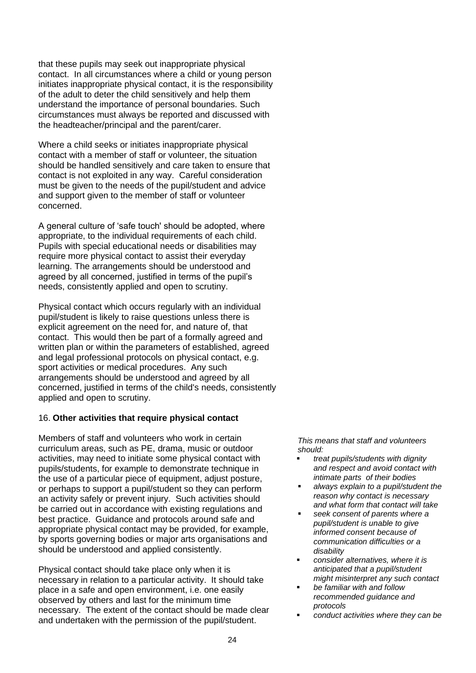that these pupils may seek out inappropriate physical contact. In all circumstances where a child or young person initiates inappropriate physical contact, it is the responsibility of the adult to deter the child sensitively and help them understand the importance of personal boundaries. Such circumstances must always be reported and discussed with the headteacher/principal and the parent/carer.

Where a child seeks or initiates inappropriate physical contact with a member of staff or volunteer, the situation should be handled sensitively and care taken to ensure that contact is not exploited in any way. Careful consideration must be given to the needs of the pupil/student and advice and support given to the member of staff or volunteer concerned.

A general culture of 'safe touch' should be adopted, where appropriate, to the individual requirements of each child. Pupils with special educational needs or disabilities may require more physical contact to assist their everyday learning. The arrangements should be understood and agreed by all concerned, justified in terms of the pupil's needs, consistently applied and open to scrutiny.

Physical contact which occurs regularly with an individual pupil/student is likely to raise questions unless there is explicit agreement on the need for, and nature of, that contact. This would then be part of a formally agreed and written plan or within the parameters of established, agreed and legal professional protocols on physical contact, e.g. sport activities or medical procedures. Any such arrangements should be understood and agreed by all concerned, justified in terms of the child's needs, consistently applied and open to scrutiny.

# 16. **Other activities that require physical contact**

Members of staff and volunteers who work in certain curriculum areas, such as PE, drama, music or outdoor activities, may need to initiate some physical contact with pupils/students, for example to demonstrate technique in the use of a particular piece of equipment, adjust posture, or perhaps to support a pupil/student so they can perform an activity safely or prevent injury. Such activities should be carried out in accordance with existing regulations and best practice. Guidance and protocols around safe and appropriate physical contact may be provided, for example, by sports governing bodies or major arts organisations and should be understood and applied consistently.

Physical contact should take place only when it is necessary in relation to a particular activity. It should take place in a safe and open environment, i.e. one easily observed by others and last for the minimum time necessary. The extent of the contact should be made clear and undertaken with the permission of the pupil/student.

- *treat pupils/students with dignity and respect and avoid contact with intimate parts of their bodies*
- always explain to a pupil/student the *reason why contact is necessary and what form that contact will take*
- *seek consent of parents where a pupil/student is unable to give informed consent because of communication difficulties or a disability*
- *consider alternatives, where it is anticipated that a pupil/student might misinterpret any such contact*
- *be familiar with and follow recommended guidance and protocols*
- *conduct activities where they can be*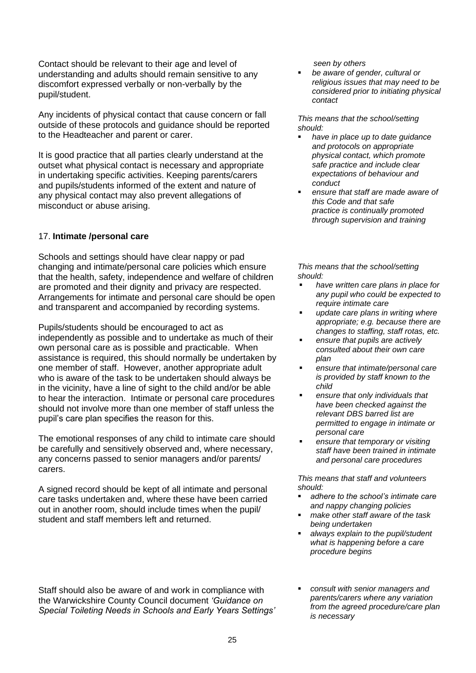Contact should be relevant to their age and level of understanding and adults should remain sensitive to any discomfort expressed verbally or non-verbally by the pupil/student.

Any incidents of physical contact that cause concern or fall outside of these protocols and guidance should be reported to the Headteacher and parent or carer.

It is good practice that all parties clearly understand at the outset what physical contact is necessary and appropriate in undertaking specific activities. Keeping parents/carers and pupils/students informed of the extent and nature of any physical contact may also prevent allegations of misconduct or abuse arising.

# 17. **Intimate /personal care**

Schools and settings should have clear nappy or pad changing and intimate/personal care policies which ensure that the health, safety, independence and welfare of children are promoted and their dignity and privacy are respected. Arrangements for intimate and personal care should be open and transparent and accompanied by recording systems.

Pupils/students should be encouraged to act as independently as possible and to undertake as much of their own personal care as is possible and practicable. When assistance is required, this should normally be undertaken by one member of staff. However, another appropriate adult who is aware of the task to be undertaken should always be in the vicinity, have a line of sight to the child and/or be able to hear the interaction. Intimate or personal care procedures should not involve more than one member of staff unless the pupil's care plan specifies the reason for this.

The emotional responses of any child to intimate care should be carefully and sensitively observed and, where necessary, any concerns passed to senior managers and/or parents/ carers.

A signed record should be kept of all intimate and personal care tasks undertaken and, where these have been carried out in another room, should include times when the pupil/ student and staff members left and returned.

*seen by others*

be aware of gender, cultural or *religious issues that may need to be considered prior to initiating physical contact*

*This means that the school/setting should:*

- have in place up to date *guidance and protocols on appropriate physical contact, which promote safe practice and include clear expectations of behaviour and conduct*
- ensure that staff are made aware of *this Code and that safe practice is continually promoted through supervision and training*

*This means that the school/setting should:* 

- have written care plans in place for *any pupil who could be expected to require intimate care*
- *update care plans in writing where appropriate; e.g. because there are changes to staffing, staff rotas, etc.*
- *ensure that pupils are actively consulted about their own care plan*
- *ensure that intimate/personal care is provided by staff known to the child*
- *ensure that only individuals that have been checked against the relevant DBS barred list are permitted to engage in intimate or personal care*
- ensure that temporary or visiting *staff have been trained in intimate and personal care procedures*

- *adhere to the school's intimate care and nappy changing policies*
- *make other staff aware of the task being undertaken*
- *always explain to the pupil/student what is happening before a care procedure begins*
- Staff should also be aware of and work in compliance with the Warwickshire County Council document *'Guidance on Special Toileting Needs in Schools and Early Years Settings'*
- *consult with senior managers and parents/carers where any variation from the agreed procedure/care plan is necessary*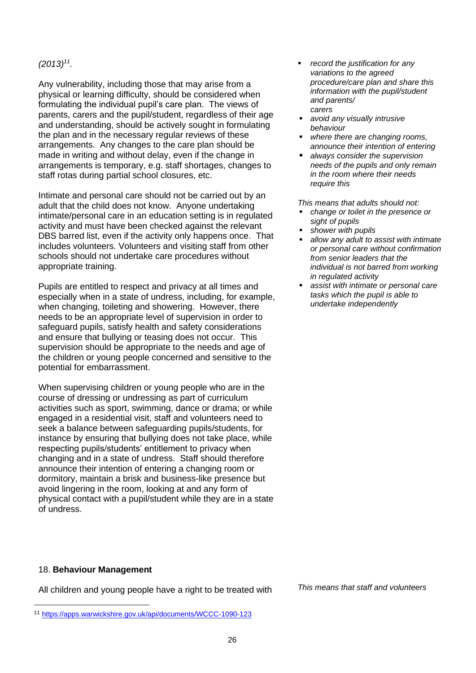## *(2013)<sup>11</sup> .*

Any vulnerability, including those that may arise from a physical or learning difficulty, should be considered when formulating the individual pupil's care plan. The views of parents, carers and the pupil/student, regardless of their age and understanding, should be actively sought in formulating the plan and in the necessary regular reviews of these arrangements. Any changes to the care plan should be made in writing and without delay, even if the change in arrangements is temporary, e.g. staff shortages, changes to staff rotas during partial school closures, etc.

Intimate and personal care should not be carried out by an adult that the child does not know. Anyone undertaking intimate/personal care in an education setting is in regulated activity and must have been checked against the relevant DBS barred list, even if the activity only happens once. That includes volunteers. Volunteers and visiting staff from other schools should not undertake care procedures without appropriate training.

Pupils are entitled to respect and privacy at all times and especially when in a state of undress, including, for example, when changing, toileting and showering. However, there needs to be an appropriate level of supervision in order to safeguard pupils, satisfy health and safety considerations and ensure that bullying or teasing does not occur. This supervision should be appropriate to the needs and age of the children or young people concerned and sensitive to the potential for embarrassment.

When supervising children or young people who are in the course of dressing or undressing as part of curriculum activities such as sport, swimming, dance or drama; or while engaged in a residential visit, staff and volunteers need to seek a balance between safeguarding pupils/students, for instance by ensuring that bullying does not take place, while respecting pupils/students' entitlement to privacy when changing and in a state of undress. Staff should therefore announce their intention of entering a changing room or dormitory, maintain a brisk and business-like presence but avoid lingering in the room, looking at and any form of physical contact with a pupil/student while they are in a state of undress.

- *record the justification for any variations to the agreed procedure/care plan and share this information with the pupil/student and parents/ carers*
- *avoid any visually intrusive behaviour*
- *where there are changing rooms, announce their intention of entering*
- *always consider the supervision needs of the pupils and only remain in the room where their needs require this*

*This means that adults should not:* 

- *change or toilet in the presence or sight of pupils*
- shower with pupils
- *allow any adult to assist with intimate or personal care without confirmation from senior leaders that the individual is not barred from working in regulated activity*
- **EXE** assist with intimate or personal care *tasks which the pupil is able to undertake independently*

#### 18. **Behaviour Management**

All children and young people have a right to be treated with *This means that staff and volunteers* 

<sup>11</sup> <https://apps.warwickshire.gov.uk/api/documents/WCCC-1090-123>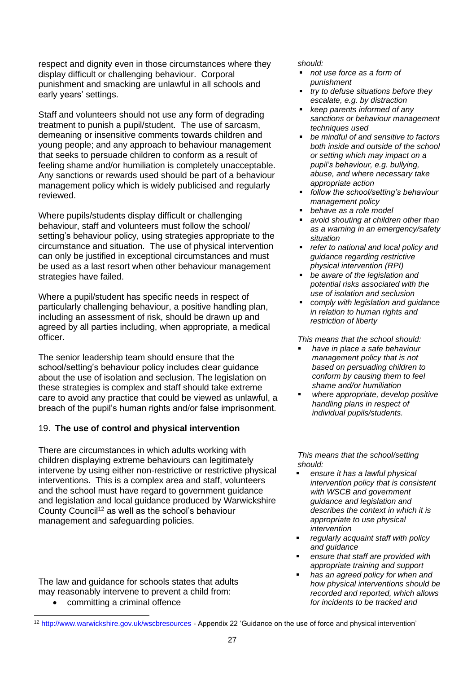respect and dignity even in those circumstances where they display difficult or challenging behaviour. Corporal punishment and smacking are unlawful in all schools and early years' settings.

Staff and volunteers should not use any form of degrading treatment to punish a pupil/student. The use of sarcasm, demeaning or insensitive comments towards children and young people; and any approach to behaviour management that seeks to persuade children to conform as a result of feeling shame and/or humiliation is completely unacceptable. Any sanctions or rewards used should be part of a behaviour management policy which is widely publicised and regularly reviewed.

Where pupils/students display difficult or challenging behaviour, staff and volunteers must follow the school/ setting's behaviour policy, using strategies appropriate to the circumstance and situation. The use of physical intervention can only be justified in exceptional circumstances and must be used as a last resort when other behaviour management strategies have failed.

Where a pupil/student has specific needs in respect of particularly challenging behaviour, a positive handling plan, including an assessment of risk, should be drawn up and agreed by all parties including, when appropriate, a medical officer.

The senior leadership team should ensure that the school/setting's behaviour policy includes clear guidance about the use of isolation and seclusion. The legislation on these strategies is complex and staff should take extreme care to avoid any practice that could be viewed as unlawful, a breach of the pupil's human rights and/or false imprisonment.

# 19. **The use of control and physical intervention**

There are circumstances in which adults working with children displaying extreme behaviours can legitimately intervene by using either non-restrictive or restrictive physical interventions. This is a complex area and staff, volunteers and the school must have regard to government guidance and legislation and local guidance produced by Warwickshire County Council<sup>12</sup> as well as the school's behaviour management and safeguarding policies.

The law and guidance for schools states that adults may reasonably intervene to prevent a child from:

• committing a criminal offence

#### *should:*

- *not use force as a form of punishment*
- *try to defuse situations before they escalate, e.g. by distraction*
- *keep parents informed of any sanctions or behaviour management techniques used*
- *be mindful of and sensitive to factors both inside and outside of the school or setting which may impact on a pupil's behaviour, e.g. bullying, abuse, and where necessary take appropriate action*
- *follow the school/setting's behaviour management policy*
- *behave as a role model*
- avoid shouting at children other than *as a warning in an emergency/safety situation*
- *refer to national and local policy and guidance regarding restrictive physical intervention (RPI)*
- *be aware of the legislation and potential risks associated with the use of isolation and seclusion*
- *comply with legislation and guidance in relation to human rights and restriction of liberty*

*This means that the school should:*

- *have in place a safe behaviour management policy that is not based on persuading children to conform by causing them to feel shame and/or humiliation*
- *where appropriate, develop positive handling plans in respect of individual pupils/students.*

*This means that the school/setting should:*

- *ensure it has a lawful physical intervention policy that is consistent with WSCB and government guidance and legislation and describes the context in which it is appropriate to use physical intervention*
- *regularly acquaint staff with policy and guidance*
- ensure that staff are provided with *appropriate training and support*
- has an agreed policy for when and *how physical interventions should be recorded and reported, which allows for incidents to be tracked and*

<sup>12</sup> <http://www.warwickshire.gov.uk/wscbresources> - Appendix 22 'Guidance on the use of force and physical intervention'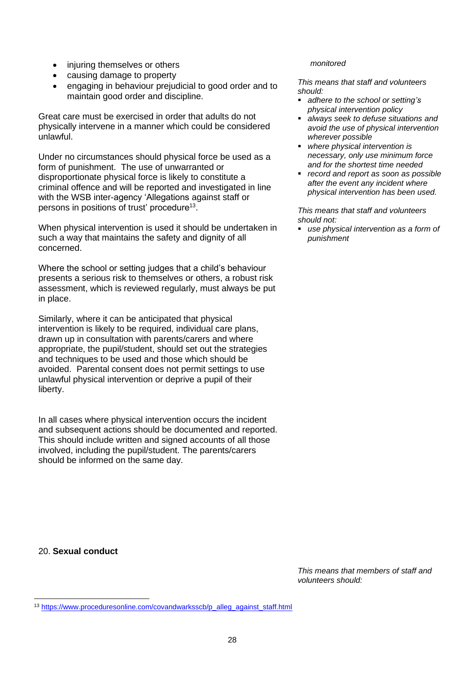- injuring themselves or others
- causing damage to property
- engaging in behaviour prejudicial to good order and to maintain good order and discipline.

Great care must be exercised in order that adults do not physically intervene in a manner which could be considered unlawful.

Under no circumstances should physical force be used as a form of punishment. The use of unwarranted or disproportionate physical force is likely to constitute a criminal offence and will be reported and investigated in line with the WSB inter-agency 'Allegations against staff or persons in positions of trust' procedure<sup>13</sup>.

When physical intervention is used it should be undertaken in such a way that maintains the safety and dignity of all concerned.

Where the school or setting judges that a child's behaviour presents a serious risk to themselves or others, a robust risk assessment, which is reviewed regularly, must always be put in place.

Similarly, where it can be anticipated that physical intervention is likely to be required, individual care plans, drawn up in consultation with parents/carers and where appropriate, the pupil/student, should set out the strategies and techniques to be used and those which should be avoided. Parental consent does not permit settings to use unlawful physical intervention or deprive a pupil of their liberty.

In all cases where physical intervention occurs the incident and subsequent actions should be documented and reported. This should include written and signed accounts of all those involved, including the pupil/student. The parents/carers should be informed on the same day.

#### *monitored*

*This means that staff and volunteers should:*

- *adhere to the school or setting's physical intervention policy*
- *always seek to defuse situations and avoid the use of physical intervention wherever possible*
- *where physical intervention is necessary, only use minimum force and for the shortest time needed*
- *record and report as soon as possible after the event any incident where physical intervention has been used.*

*This means that staff and volunteers should not:*

▪ *use physical intervention as a form of punishment* 

20. **Sexual conduct**

*This means that members of staff and volunteers should:*

<sup>13</sup> [https://www.proceduresonline.com/covandwarksscb/p\\_alleg\\_against\\_staff.html](https://www.proceduresonline.com/covandwarksscb/p_alleg_against_staff.html)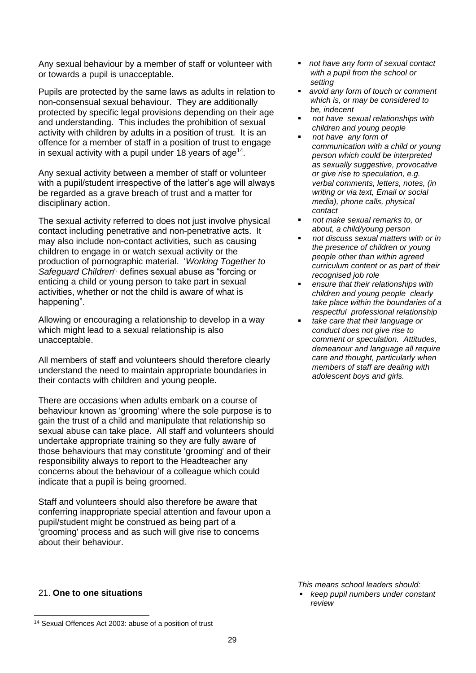Any sexual behaviour by a member of staff or volunteer with or towards a pupil is unacceptable.

Pupils are protected by the same laws as adults in relation to non-consensual sexual behaviour. They are additionally protected by specific legal provisions depending on their age and understanding. This includes the prohibition of sexual activity with children by adults in a position of trust. It is an offence for a member of staff in a position of trust to engage in sexual activity with a pupil under 18 years of age<sup>14</sup>.

Any sexual activity between a member of staff or volunteer with a pupil/student irrespective of the latter's age will always be regarded as a grave breach of trust and a matter for disciplinary action.

The sexual activity referred to does not just involve physical contact including penetrative and non-penetrative acts. It may also include non-contact activities, such as causing children to engage in or watch sexual activity or the production of pornographic material. '*Working Together to*  Safeguard Children<sup>1,</sup> defines sexual abuse as "forcing or enticing a child or young person to take part in sexual activities, whether or not the child is aware of what is happening".

Allowing or encouraging a relationship to develop in a way which might lead to a sexual relationship is also unacceptable.

All members of staff and volunteers should therefore clearly understand the need to maintain appropriate boundaries in their contacts with children and young people.

There are occasions when adults embark on a course of behaviour known as 'grooming' where the sole purpose is to gain the trust of a child and manipulate that relationship so sexual abuse can take place. All staff and volunteers should undertake appropriate training so they are fully aware of those behaviours that may constitute 'grooming' and of their responsibility always to report to the Headteacher any concerns about the behaviour of a colleague which could indicate that a pupil is being groomed.

Staff and volunteers should also therefore be aware that conferring inappropriate special attention and favour upon a pupil/student might be construed as being part of a 'grooming' process and as such will give rise to concerns about their behaviour.

- *not have any form of sexual contact with a pupil from the school or setting*
- *avoid any form of touch or comment which is, or may be considered to be, indecent*
- *not have sexual relationships with children and young people*
- *not have any form of communication with a child or young person which could be interpreted as sexually suggestive, provocative or give rise to speculation, e.g. verbal comments, letters, notes, (in writing or via text, Email or social media), phone calls, physical contact*
- *not make sexual remarks to, or about, a child/young person*
- *not discuss sexual matters with or in the presence of children or young people other than within agreed curriculum content or as part of their recognised job role*
- ensure that their relationships with *children and young people clearly take place within the boundaries of a respectful professional relationship*
- *take care that their language or conduct does not give rise to comment or speculation. Attitudes, demeanour and language all require care and thought, particularly when members of staff are dealing with adolescent boys and girls.*

*This means school leaders should:* 

▪ *keep pupil numbers under constant review* 

# 21. **One to one situations**

<sup>14</sup> Sexual Offences Act 2003: abuse of a position of trust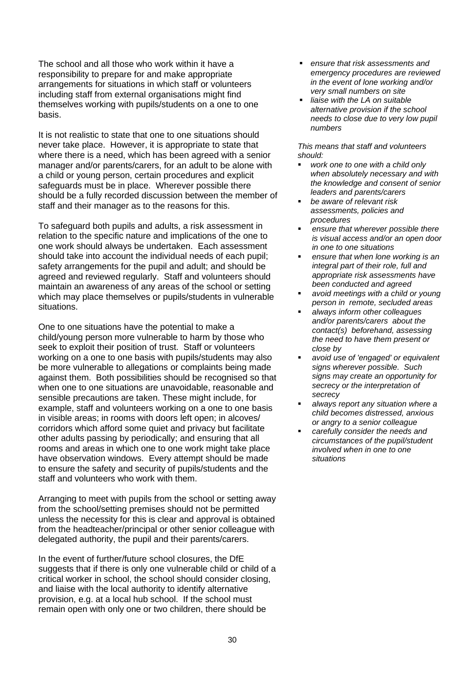The school and all those who work within it have a responsibility to prepare for and make appropriate arrangements for situations in which staff or volunteers including staff from external organisations might find themselves working with pupils/students on a one to one basis.

It is not realistic to state that one to one situations should never take place. However, it is appropriate to state that where there is a need, which has been agreed with a senior manager and/or parents/carers, for an adult to be alone with a child or young person, certain procedures and explicit safeguards must be in place. Wherever possible there should be a fully recorded discussion between the member of staff and their manager as to the reasons for this.

To safeguard both pupils and adults, a risk assessment in relation to the specific nature and implications of the one to one work should always be undertaken. Each assessment should take into account the individual needs of each pupil; safety arrangements for the pupil and adult; and should be agreed and reviewed regularly. Staff and volunteers should maintain an awareness of any areas of the school or setting which may place themselves or pupils/students in vulnerable situations.

One to one situations have the potential to make a child/young person more vulnerable to harm by those who seek to exploit their position of trust. Staff or volunteers working on a one to one basis with pupils/students may also be more vulnerable to allegations or complaints being made against them. Both possibilities should be recognised so that when one to one situations are unavoidable, reasonable and sensible precautions are taken. These might include, for example, staff and volunteers working on a one to one basis in visible areas; in rooms with doors left open; in alcoves/ corridors which afford some quiet and privacy but facilitate other adults passing by periodically; and ensuring that all rooms and areas in which one to one work might take place have observation windows. Every attempt should be made to ensure the safety and security of pupils/students and the staff and volunteers who work with them.

Arranging to meet with pupils from the school or setting away from the school/setting premises should not be permitted unless the necessity for this is clear and approval is obtained from the headteacher/principal or other senior colleague with delegated authority, the pupil and their parents/carers.

In the event of further/future school closures, the DfE suggests that if there is only one vulnerable child or child of a critical worker in school, the school should consider closing, and liaise with the local authority to identify alternative provision, e.g. at a local hub school. If the school must remain open with only one or two children, there should be

- *ensure that risk assessments and emergency procedures are reviewed in the event of lone working and/or very small numbers on site*
- *liaise with the LA on suitable alternative provision if the school needs to close due to very low pupil numbers*

- work one to one with a child only *when absolutely necessary and with the knowledge and consent of senior leaders and parents/carers*
- *be aware of relevant risk assessments, policies and procedures*
- *ensure that wherever possible there is visual access and/or an open door in one to one situations*
- ensure that when lone working is an *integral part of their role, full and appropriate risk assessments have been conducted and agreed*
- avoid meetings with a child or young *person in remote, secluded areas*
- *always inform other colleagues and/or parents/carers about the contact(s) beforehand, assessing the need to have them present or close by*
- *avoid use of 'engaged' or equivalent signs wherever possible. Such signs may create an opportunity for secrecy or the interpretation of secrecy*
- *always report any situation where a child becomes distressed, anxious or angry to a senior colleague*
- carefully consider the needs and *circumstances of the pupil/student involved when in one to one situations*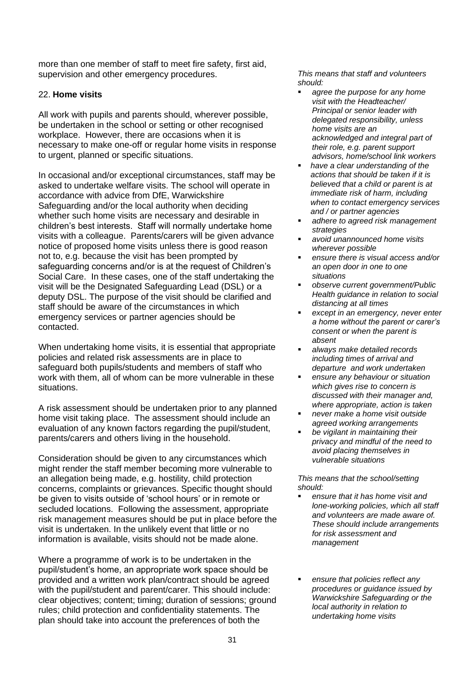more than one member of staff to meet fire safety, first aid, supervision and other emergency procedures.

# 22. **Home visits**

All work with pupils and parents should, wherever possible, be undertaken in the school or setting or other recognised workplace. However, there are occasions when it is necessary to make one-off or regular home visits in response to urgent, planned or specific situations.

In occasional and/or exceptional circumstances, staff may be asked to undertake welfare visits. The school will operate in accordance with advice from DfE, Warwickshire Safeguarding and/or the local authority when deciding whether such home visits are necessary and desirable in children's best interests. Staff will normally undertake home visits with a colleague. Parents/carers will be given advance notice of proposed home visits unless there is good reason not to, e.g. because the visit has been prompted by safeguarding concerns and/or is at the request of Children's Social Care. In these cases, one of the staff undertaking the visit will be the Designated Safeguarding Lead (DSL) or a deputy DSL. The purpose of the visit should be clarified and staff should be aware of the circumstances in which emergency services or partner agencies should be contacted.

When undertaking home visits, it is essential that appropriate policies and related risk assessments are in place to safeguard both pupils/students and members of staff who work with them, all of whom can be more vulnerable in these situations.

A risk assessment should be undertaken prior to any planned home visit taking place. The assessment should include an evaluation of any known factors regarding the pupil/student, parents/carers and others living in the household.

Consideration should be given to any circumstances which might render the staff member becoming more vulnerable to an allegation being made, e.g. hostility, child protection concerns, complaints or grievances. Specific thought should be given to visits outside of 'school hours' or in remote or secluded locations. Following the assessment, appropriate risk management measures should be put in place before the visit is undertaken. In the unlikely event that little or no information is available, visits should not be made alone.

Where a programme of work is to be undertaken in the pupil/student's home, an appropriate work space should be provided and a written work plan/contract should be agreed with the pupil/student and parent/carer. This should include: clear objectives; content; timing; duration of sessions; ground rules; child protection and confidentiality statements. The plan should take into account the preferences of both the

*This means that staff and volunteers should:* 

- agree the purpose for any home *visit with the Headteacher/ Principal or senior leader with delegated responsibility, unless home visits are an acknowledged and integral part of their role, e.g. parent support advisors, home/school link workers*
- have a clear understanding of the *actions that should be taken if it is believed that a child or parent is at immediate risk of harm, including when to contact emergency services and / or partner agencies*
- *adhere to agreed risk management strategies*
- *avoid unannounced home visits wherever possible*
- *ensure there is visual access and/or an open door in one to one situations*
- *observe current government/Public Health guidance in relation to social distancing at all times*
- except in an emergency, never enter *a home without the parent or carer's consent or when the parent is absent*
- *always make detailed records including times of arrival and departure and work undertaken*
- *ensure any behaviour or situation which gives rise to concern is discussed with their manager and, where appropriate, action is taken*
- *never make a home visit outside agreed working arrangements*
- *be vigilant in maintaining their privacy and mindful of the need to avoid placing themselves in vulnerable situations*

*This means that the school/setting should:*

- ensure that it has home visit and *lone-working policies, which all staff and volunteers are made aware of. These should include arrangements for risk assessment and management*
- ensure that policies reflect any *procedures or guidance issued by Warwickshire Safeguarding or the local authority in relation to undertaking home visits*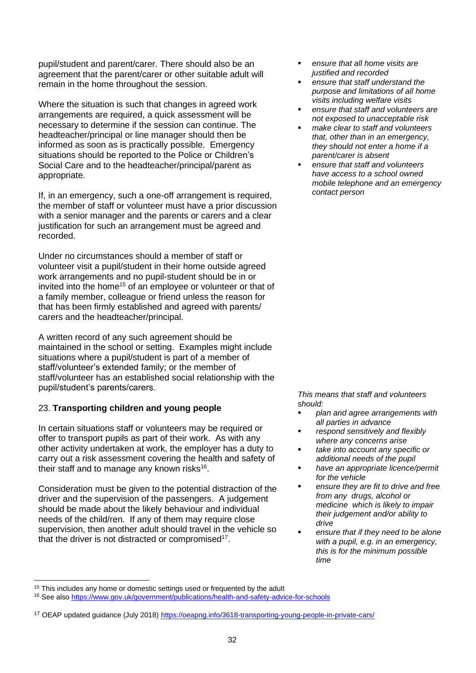pupil/student and parent/carer. There should also be an agreement that the parent/carer or other suitable adult will remain in the home throughout the session.

Where the situation is such that changes in agreed work arrangements are required, a quick assessment will be necessary to determine if the session can continue. The headteacher/principal or line manager should then be informed as soon as is practically possible. Emergency situations should be reported to the Police or Children's Social Care and to the headteacher/principal/parent as appropriate.

If, in an emergency, such a one-off arrangement is required, the member of staff or volunteer must have a prior discussion with a senior manager and the parents or carers and a clear justification for such an arrangement must be agreed and recorded.

Under no circumstances should a member of staff or volunteer visit a pupil/student in their home outside agreed work arrangements and no pupil-student should be in or invited into the home<sup>15</sup> of an employee or volunteer or that of a family member, colleague or friend unless the reason for that has been firmly established and agreed with parents/ carers and the headteacher/principal.

A written record of any such agreement should be maintained in the school or setting. Examples might include situations where a pupil/student is part of a member of staff/volunteer's extended family; or the member of staff/volunteer has an established social relationship with the pupil/student's parents/carers.

# 23. **Transporting children and young people**

In certain situations staff or volunteers may be required or offer to transport pupils as part of their work. As with any other activity undertaken at work, the employer has a duty to carry out a risk assessment covering the health and safety of their staff and to manage any known risks $16$ .

Consideration must be given to the potential distraction of the driver and the supervision of the passengers. A judgement should be made about the likely behaviour and individual needs of the child/ren. If any of them may require close supervision, then another adult should travel in the vehicle so that the driver is not distracted or compromised<sup>17</sup>.

- *ensure that all home visits are justified and recorded*
- *ensure that staff understand the purpose and limitations of all home visits including welfare visits*
- ensure that staff and volunteers are *not exposed to unacceptable risk*
- *make clear to staff and volunteers that, other than in an emergency, they should not enter a home if a parent/carer is absent*
- *ensure that staff and volunteers have access to a school owned mobile telephone and an emergency contact person*

- *plan and agree arrangements with all parties in advance*
- *respond sensitively and flexibly where any concerns arise*
- *take into account any specific or additional needs of the pupil*
- *have an appropriate licence/permit for the vehicle*
- *ensure they are fit to drive and free from any drugs, alcohol or medicine which is likely to impair their judgement and/or ability to drive*
- *ensure that if they need to be alone with a pupil, e.g. in an emergency, this is for the minimum possible time*

<sup>&</sup>lt;sup>15</sup> This includes any home or domestic settings used or frequented by the adult

<sup>16</sup> See also<https://www.gov.uk/government/publications/health-and-safety-advice-for-schools>

<sup>&</sup>lt;sup>17</sup> OEAP updated guidance (July 2018)<https://oeapng.info/3618-transporting-young-people-in-private-cars/>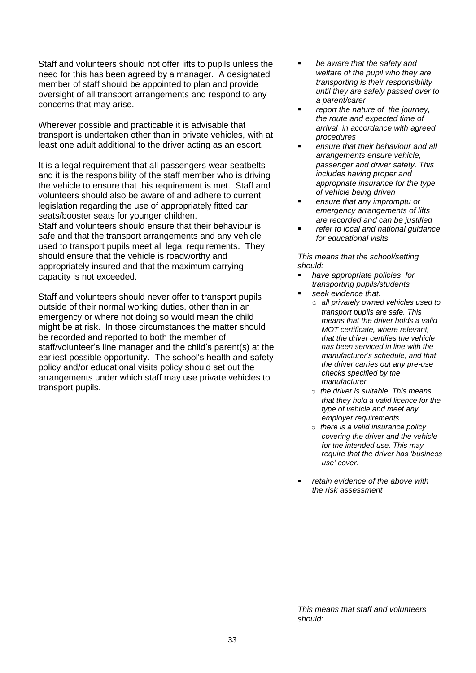Staff and volunteers should not offer lifts to pupils unless the need for this has been agreed by a manager. A designated member of staff should be appointed to plan and provide oversight of all transport arrangements and respond to any concerns that may arise.

Wherever possible and practicable it is advisable that transport is undertaken other than in private vehicles, with at least one adult additional to the driver acting as an escort.

It is a legal requirement that all passengers wear seatbelts and it is the responsibility of the staff member who is driving the vehicle to ensure that this requirement is met. Staff and volunteers should also be aware of and adhere to current legislation regarding the use of appropriately fitted car seats/booster seats for younger children. Staff and volunteers should ensure that their behaviour is safe and that the transport arrangements and any vehicle used to transport pupils meet all legal requirements. They should ensure that the vehicle is roadworthy and appropriately insured and that the maximum carrying capacity is not exceeded.

Staff and volunteers should never offer to transport pupils outside of their normal working duties, other than in an emergency or where not doing so would mean the child might be at risk. In those circumstances the matter should be recorded and reported to both the member of staff/volunteer's line manager and the child's parent(s) at the earliest possible opportunity. The school's health and safety policy and/or educational visits policy should set out the arrangements under which staff may use private vehicles to transport pupils.

- be aware that the safety and *welfare of the pupil who they are transporting is their responsibility until they are safely passed over to a parent/carer*
- *report the nature of the journey, the route and expected time of arrival in accordance with agreed procedures*
- *ensure that their behaviour and all arrangements ensure vehicle, passenger and driver safety. This includes having proper and appropriate insurance for the type of vehicle being driven*
- ensure that any *impromptu* or *emergency arrangements of lifts are recorded and can be justified*
- *refer to local and national guidance for educational visits*

*This means that the school/setting should:*

- *have appropriate policies for transporting pupils/students*  seek evidence that:
	- o *all privately owned vehicles used to transport pupils are safe. This means that the driver holds a valid MOT certificate, where relevant, that the driver certifies the vehicle has been serviced in line with the manufacturer's schedule, and that the driver carries out any pre-use checks specified by the manufacturer*
	- o *the driver is suitable. This means that they hold a valid licence for the type of vehicle and meet any employer requirements*
	- o *there is a valid insurance policy covering the driver and the vehicle for the intended use. This may require that the driver has 'business use' cover.*
- retain evidence of the above with *the risk assessment*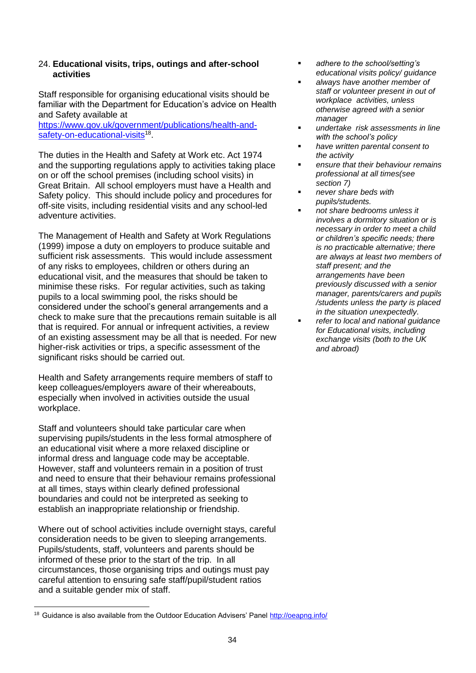## 24. **Educational visits, trips, outings and after-school activities**

Staff responsible for organising educational visits should be familiar with the Department for Education's advice on Health and Safety available at

[https://www.gov.uk/government/publications/health-and](https://www.gov.uk/government/publications/health-and-safety-on-educational-visits)[safety-on-educational-visits](https://www.gov.uk/government/publications/health-and-safety-on-educational-visits)<sup>18</sup>.

The duties in the Health and Safety at Work etc. Act 1974 and the supporting regulations apply to activities taking place on or off the school premises (including school visits) in Great Britain. All school employers must have a Health and Safety policy. This should include policy and procedures for off-site visits, including residential visits and any school-led adventure activities.

The Management of Health and Safety at Work Regulations (1999) impose a duty on employers to produce suitable and sufficient risk assessments. This would include assessment of any risks to employees, children or others during an educational visit, and the measures that should be taken to minimise these risks. For regular activities, such as taking pupils to a local swimming pool, the risks should be considered under the school's general arrangements and a check to make sure that the precautions remain suitable is all that is required. For annual or infrequent activities, a review of an existing assessment may be all that is needed. For new higher-risk activities or trips, a specific assessment of the significant risks should be carried out.

Health and Safety arrangements require members of staff to keep colleagues/employers aware of their whereabouts, especially when involved in activities outside the usual workplace.

Staff and volunteers should take particular care when supervising pupils/students in the less formal atmosphere of an educational visit where a more relaxed discipline or informal dress and language code may be acceptable. However, staff and volunteers remain in a position of trust and need to ensure that their behaviour remains professional at all times, stays within clearly defined professional boundaries and could not be interpreted as seeking to establish an inappropriate relationship or friendship.

Where out of school activities include overnight stays, careful consideration needs to be given to sleeping arrangements. Pupils/students, staff, volunteers and parents should be informed of these prior to the start of the trip. In all circumstances, those organising trips and outings must pay careful attention to ensuring safe staff/pupil/student ratios and a suitable gender mix of staff.

- *adhere to the school/setting's educational visits policy/ guidance*
- *always have another member of staff or volunteer present in out of workplace activities, unless otherwise agreed with a senior manager*
- *undertake risk assessments in line with the school's policy*
- *have written parental consent to the activity*
- *ensure that their behaviour remains professional at all times(see section 7)*
- *never share beds with pupils/students.* 
	- *not share bedrooms unless it involves a dormitory situation or is necessary in order to meet a child or children's specific needs; there is no practicable alternative; there are always at least two members of staff present; and the arrangements have been previously discussed with a senior manager, parents/carers and pupils /students unless the party is placed in the situation unexpectedly.*
	- *refer to local and national guidance for Educational visits, including exchange visits (both to the UK and abroad)*

<sup>&</sup>lt;sup>18</sup> Guidance is also available from the Outdoor Education Advisers' Panel<http://oeapng.info/>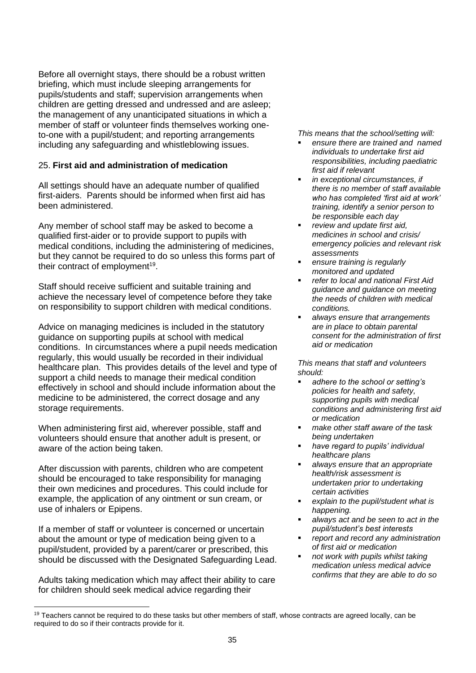Before all overnight stays, there should be a robust written briefing, which must include sleeping arrangements for pupils/students and staff; supervision arrangements when children are getting dressed and undressed and are asleep; the management of any unanticipated situations in which a member of staff or volunteer finds themselves working oneto-one with a pupil/student; and reporting arrangements including any safeguarding and whistleblowing issues.

# 25. **First aid and administration of medication**

All settings should have an adequate number of qualified first-aiders. Parents should be informed when first aid has been administered.

Any member of school staff may be asked to become a qualified first-aider or to provide support to pupils with medical conditions, including the administering of medicines, but they cannot be required to do so unless this forms part of their contract of employment<sup>19</sup>.

Staff should receive sufficient and suitable training and achieve the necessary level of competence before they take on responsibility to support children with medical conditions.

Advice on managing medicines is included in the statutory guidance on supporting pupils at school with medical conditions. In circumstances where a pupil needs medication regularly, this would usually be recorded in their individual healthcare plan. This provides details of the level and type of support a child needs to manage their medical condition effectively in school and should include information about the medicine to be administered, the correct dosage and any storage requirements.

When administering first aid, wherever possible, staff and volunteers should ensure that another adult is present, or aware of the action being taken.

After discussion with parents, children who are competent should be encouraged to take responsibility for managing their own medicines and procedures. This could include for example, the application of any ointment or sun cream, or use of inhalers or Epipens.

If a member of staff or volunteer is concerned or uncertain about the amount or type of medication being given to a pupil/student, provided by a parent/carer or prescribed, this should be discussed with the Designated Safeguarding Lead.

Adults taking medication which may affect their ability to care for children should seek medical advice regarding their

*This means that the school/setting will:*

- *ensure there are trained and named individuals to undertake first aid responsibilities, including paediatric first aid if relevant*
- *in exceptional circumstances, if there is no member of staff available who has completed 'first aid at work' training, identify a senior person to be responsible each day*
- review and update first aid, *medicines in school and crisis/ emergency policies and relevant risk assessments*
- ensure *training is regularly monitored and updated*
- *refer to local and national First Aid guidance and guidance on meeting the needs of children with medical conditions.*
- *always ensure that arrangements are in place to obtain parental consent for the administration of first aid or medication*

- *adhere to the school or setting's policies for health and safety, supporting pupils with medical conditions and administering first aid or medication*
- *make other staff aware of the task being undertaken*
- *have regard to pupils' individual healthcare plans*
- *always ensure that an appropriate health/risk assessment is undertaken prior to undertaking certain activities*
- *explain to the pupil/student what is happening.*
- always act and be seen to act in the *pupil/student's best interests*
- *report and record any administration of first aid or medication*
- *not work with pupils whilst taking medication unless medical advice confirms that they are able to do so*

 $19$  Teachers cannot be required to do these tasks but other members of staff, whose contracts are agreed locally, can be required to do so if their contracts provide for it.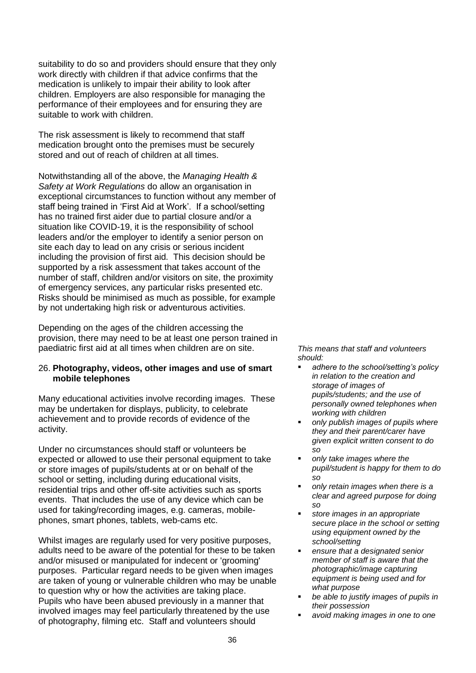suitability to do so and providers should ensure that they only work directly with children if that advice confirms that the medication is unlikely to impair their ability to look after children. Employers are also responsible for managing the performance of their employees and for ensuring they are suitable to work with children.

The risk assessment is likely to recommend that staff medication brought onto the premises must be securely stored and out of reach of children at all times.

Notwithstanding all of the above, the *Managing Health & Safety at Work Regulations* do allow an organisation in exceptional circumstances to function without any member of staff being trained in 'First Aid at Work'. If a school/setting has no trained first aider due to partial closure and/or a situation like COVID-19, it is the responsibility of school leaders and/or the employer to identify a senior person on site each day to lead on any crisis or serious incident including the provision of first aid. This decision should be supported by a risk assessment that takes account of the number of staff, children and/or visitors on site, the proximity of emergency services, any particular risks presented etc. Risks should be minimised as much as possible, for example by not undertaking high risk or adventurous activities.

Depending on the ages of the children accessing the provision, there may need to be at least one person trained in paediatric first aid at all times when children are on site.

#### 26. **Photography, videos, other images and use of smart mobile telephones**

Many educational activities involve recording images. These may be undertaken for displays, publicity, to celebrate achievement and to provide records of evidence of the activity.

Under no circumstances should staff or volunteers be expected or allowed to use their personal equipment to take or store images of pupils/students at or on behalf of the school or setting, including during educational visits, residential trips and other off-site activities such as sports events. That includes the use of any device which can be used for taking/recording images, e.g. cameras, mobilephones, smart phones, tablets, web-cams etc.

Whilst images are regularly used for very positive purposes, adults need to be aware of the potential for these to be taken and/or misused or manipulated for indecent or 'grooming' purposes. Particular regard needs to be given when images are taken of young or vulnerable children who may be unable to question why or how the activities are taking place. Pupils who have been abused previously in a manner that involved images may feel particularly threatened by the use of photography, filming etc. Staff and volunteers should

- adhere to the school/setting's policy *in relation to the creation and storage of images of pupils/students; and the use of personally owned telephones when working with children*
- *only publish images of pupils where they and their parent/carer have given explicit written consent to do so*
- only take *images* where the *pupil/student is happy for them to do so*
- *only retain images when there is a clear and agreed purpose for doing so*
- *store images in an appropriate secure place in the school or setting using equipment owned by the school/setting*
- *ensure that a designated senior member of staff is aware that the photographic/image capturing equipment is being used and for what purpose*
- be able to justify images of pupils in *their possession*
- *avoid making images in one to one*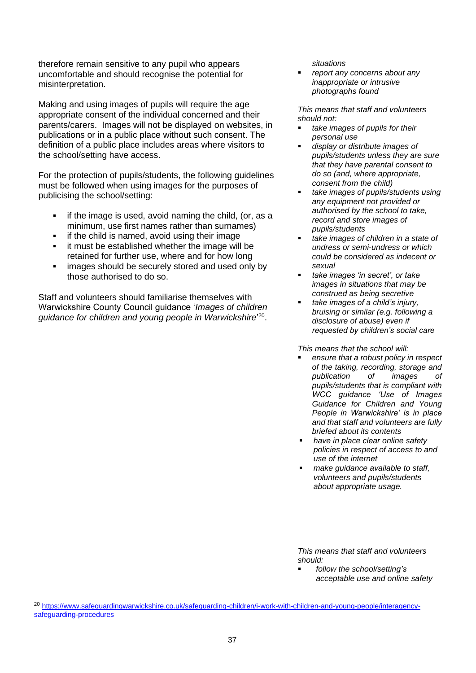therefore remain sensitive to any pupil who appears uncomfortable and should recognise the potential for misinterpretation.

Making and using images of pupils will require the age appropriate consent of the individual concerned and their parents/carers. Images will not be displayed on websites, in publications or in a public place without such consent. The definition of a public place includes areas where visitors to the school/setting have access.

For the protection of pupils/students, the following guidelines must be followed when using images for the purposes of publicising the school/setting:

- if the image is used, avoid naming the child, (or, as a minimum, use first names rather than surnames)
- if the child is named, avoid using their image
- it must be established whether the image will be retained for further use, where and for how long
- **EXECUTE:** images should be securely stored and used only by those authorised to do so.

Staff and volunteers should familiarise themselves with Warwickshire County Council guidance '*Images of children guidance for children and young people in Warwickshire*' 20 .

*situations* 

▪ *report any concerns about any inappropriate or intrusive photographs found*

*This means that staff and volunteers should not:*

- *take images of pupils for their personal use*
- *display or distribute images of pupils/students unless they are sure that they have parental consent to do so (and, where appropriate, consent from the child)*
- *take images of pupils/students using any equipment not provided or authorised by the school to take, record and store images of pupils/students*
- *take images of children in a state of undress or semi-undress or which could be considered as indecent or sexual*
- *take images 'in secret', or take images in situations that may be construed as being secretive*
- *take images of a child's injury, bruising or similar (e.g. following a disclosure of abuse) even if requested by children's social care*

*This means that the school will:* 

- *ensure that a robust policy in respect of the taking, recording, storage and publication of images of pupils/students that is compliant with WCC guidance 'Use of Images Guidance for Children and Young People in Warwickshire' is in place and that staff and volunteers are fully briefed about its contents*
- *have in place clear online safety policies in respect of access to and use of the internet*
- *make guidance available to staff, volunteers and pupils/students about appropriate usage.*

*This means that staff and volunteers should:*

▪ *follow the school/setting's acceptable use and online safety* 

<sup>20</sup> [https://www.safeguardingwarwickshire.co.uk/safeguarding-children/i-work-with-children-and-young-people/interagency](https://www.safeguardingwarwickshire.co.uk/safeguarding-children/i-work-with-children-and-young-people/interagency-safeguarding-procedures)[safeguarding-procedures](https://www.safeguardingwarwickshire.co.uk/safeguarding-children/i-work-with-children-and-young-people/interagency-safeguarding-procedures)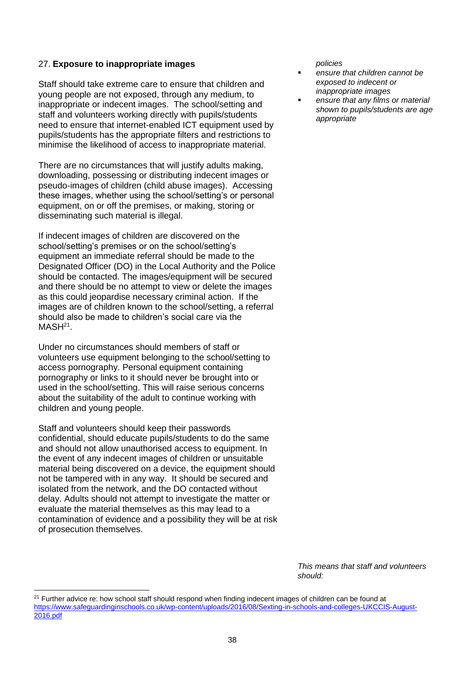#### 27. **Exposure to inappropriate images**

Staff should take extreme care to ensure that children and young people are not exposed, through any medium, to inappropriate or indecent images. The school/setting and staff and volunteers working directly with pupils/students need to ensure that internet-enabled ICT equipment used by pupils/students has the appropriate filters and restrictions to minimise the likelihood of access to inappropriate material.

There are no circumstances that will justify adults making, downloading, possessing or distributing indecent images or pseudo-images of children (child abuse images). Accessing these images, whether using the school/setting's or personal equipment, on or off the premises, or making, storing or disseminating such material is illegal.

If indecent images of children are discovered on the school/setting's premises or on the school/setting's equipment an immediate referral should be made to the Designated Officer (DO) in the Local Authority and the Police should be contacted. The images/equipment will be secured and there should be no attempt to view or delete the images as this could jeopardise necessary criminal action. If the images are of children known to the school/setting, a referral should also be made to children's social care via the  $MASH<sup>21</sup>$ .

Under no circumstances should members of staff or volunteers use equipment belonging to the school/setting to access pornography. Personal equipment containing pornography or links to it should never be brought into or used in the school/setting. This will raise serious concerns about the suitability of the adult to continue working with children and young people.

Staff and volunteers should keep their passwords confidential, should educate pupils/students to do the same and should not allow unauthorised access to equipment. In the event of any indecent images of children or unsuitable material being discovered on a device, the equipment should not be tampered with in any way. It should be secured and isolated from the network, and the DO contacted without delay. Adults should not attempt to investigate the matter or evaluate the material themselves as this may lead to a contamination of evidence and a possibility they will be at risk of prosecution themselves.

*policies* 

- ensure that children cannot be *exposed to indecent or inappropriate images*
- ensure that any films or material *shown to pupils/students are age appropriate*

<sup>&</sup>lt;sup>21</sup> Further advice re: how school staff should respond when finding indecent images of children can be found at [https://www.safeguardinginschools.co.uk/wp-content/uploads/2016/08/Sexting-in-schools-and-colleges-UKCCIS-August-](https://www.safeguardinginschools.co.uk/wp-content/uploads/2016/08/Sexting-in-schools-and-colleges-UKCCIS-August-2016.pdf)[2016.pdf](https://www.safeguardinginschools.co.uk/wp-content/uploads/2016/08/Sexting-in-schools-and-colleges-UKCCIS-August-2016.pdf)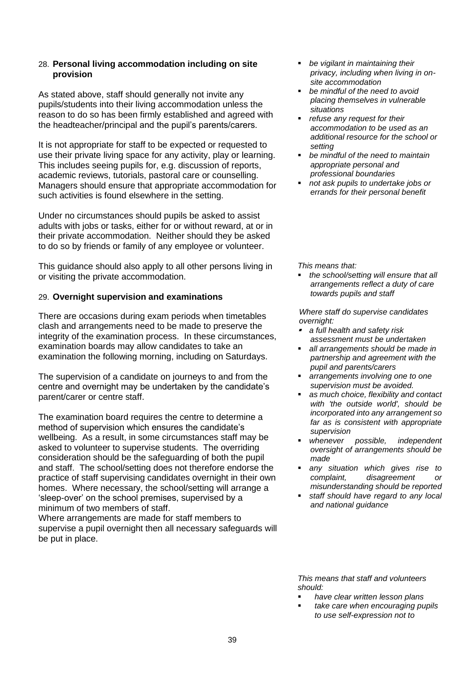## 28. **Personal living accommodation including on site provision**

As stated above, staff should generally not invite any pupils/students into their living accommodation unless the reason to do so has been firmly established and agreed with the headteacher/principal and the pupil's parents/carers.

It is not appropriate for staff to be expected or requested to use their private living space for any activity, play or learning. This includes seeing pupils for, e.g. discussion of reports, academic reviews, tutorials, pastoral care or counselling. Managers should ensure that appropriate accommodation for such activities is found elsewhere in the setting.

Under no circumstances should pupils be asked to assist adults with jobs or tasks, either for or without reward, at or in their private accommodation. Neither should they be asked to do so by friends or family of any employee or volunteer.

This guidance should also apply to all other persons living in or visiting the private accommodation.

# 29. **Overnight supervision and examinations**

There are occasions during exam periods when timetables clash and arrangements need to be made to preserve the integrity of the examination process. In these circumstances, examination boards may allow candidates to take an examination the following morning, including on Saturdays.

The supervision of a candidate on journeys to and from the centre and overnight may be undertaken by the candidate's parent/carer or centre staff.

The examination board requires the centre to determine a method of supervision which ensures the candidate's wellbeing. As a result, in some circumstances staff may be asked to volunteer to supervise students. The overriding consideration should be the safeguarding of both the pupil and staff. The school/setting does not therefore endorse the practice of staff supervising candidates overnight in their own homes. Where necessary, the school/setting will arrange a 'sleep-over' on the school premises, supervised by a minimum of two members of staff.

Where arrangements are made for staff members to supervise a pupil overnight then all necessary safeguards will be put in place.

- *be vigilant in maintaining their privacy, including when living in onsite accommodation*
- *be mindful of the need to avoid placing themselves in vulnerable situations*
- *refuse any request for their accommodation to be used as an additional resource for the school or setting*
- *be mindful of the need to maintain appropriate personal and professional boundaries*
- *not ask pupils to undertake jobs or errands for their personal benefit*

*This means that:*

▪ *the school/setting will ensure that all arrangements reflect a duty of care towards pupils and staff* 

*Where staff do supervise candidates overnight:* 

- *a full health and safety risk assessment must be undertaken*
- all arrangements should be made in *partnership and agreement with the pupil and parents/carers*
- *arrangements involving one to one supervision must be avoided.*
- *as much choice, flexibility and contact with 'the outside world', should be incorporated into any arrangement so far as is consistent with appropriate supervision*
- whenever possible, independent *oversight of arrangements should be made*
- *any situation which gives rise to complaint, disagreement or misunderstanding should be reported*
- staff should have regard to any local *and national guidance*

- *have clear written lesson plans*
- *take care when encouraging pupils to use self-expression not to*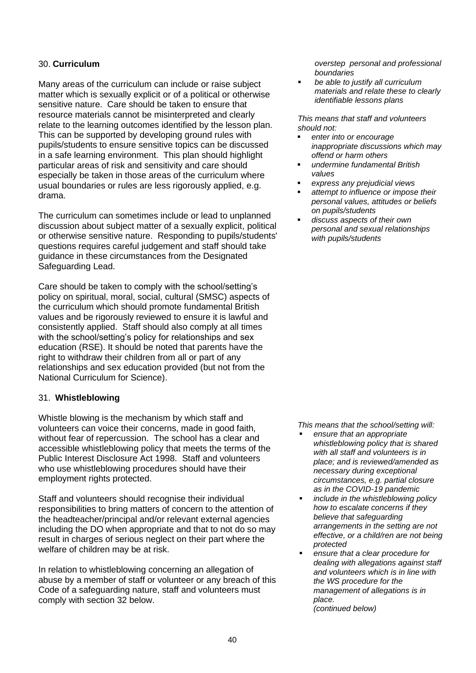# 30. **Curriculum**

Many areas of the curriculum can include or raise subject matter which is sexually explicit or of a political or otherwise sensitive nature. Care should be taken to ensure that resource materials cannot be misinterpreted and clearly relate to the learning outcomes identified by the lesson plan. This can be supported by developing ground rules with pupils/students to ensure sensitive topics can be discussed in a safe learning environment. This plan should highlight particular areas of risk and sensitivity and care should especially be taken in those areas of the curriculum where usual boundaries or rules are less rigorously applied, e.g. drama.

The curriculum can sometimes include or lead to unplanned discussion about subject matter of a sexually explicit, political or otherwise sensitive nature. Responding to pupils/students' questions requires careful judgement and staff should take guidance in these circumstances from the Designated Safeguarding Lead.

Care should be taken to comply with the school/setting's policy on spiritual, moral, social, cultural (SMSC) aspects of the curriculum which should promote fundamental British values and be rigorously reviewed to ensure it is lawful and consistently applied. Staff should also comply at all times with the school/setting's policy for relationships and sex education (RSE). It should be noted that parents have the right to withdraw their children from all or part of any relationships and sex education provided (but not from the National Curriculum for Science).

# 31. **Whistleblowing**

Whistle blowing is the mechanism by which staff and volunteers can voice their concerns, made in good faith, without fear of repercussion. The school has a clear and accessible whistleblowing policy that meets the terms of the Public Interest Disclosure Act 1998. Staff and volunteers who use whistleblowing procedures should have their employment rights protected.

Staff and volunteers should recognise their individual responsibilities to bring matters of concern to the attention of the headteacher/principal and/or relevant external agencies including the DO when appropriate and that to not do so may result in charges of serious neglect on their part where the welfare of children may be at risk.

In relation to whistleblowing concerning an allegation of abuse by a member of staff or volunteer or any breach of this Code of a safeguarding nature, staff and volunteers must comply with section 32 below.

*overstep personal and professional boundaries*

▪ *be able to justify all curriculum materials and relate these to clearly identifiable lessons plans*

*This means that staff and volunteers should not:*

- enter into or encourage *inappropriate discussions which may offend or harm others*
- *undermine fundamental British values*
- *express any prejudicial views*
- attempt to influence or impose their *personal values, attitudes or beliefs on pupils/students*
- *discuss aspects of their own personal and sexual relationships with pupils/students*

*This means that the school/setting will:*

- *ensure that an appropriate whistleblowing policy that is shared with all staff and volunteers is in place; and is reviewed/amended as necessary during exceptional circumstances, e.g. partial closure as in the COVID-19 pandemic*
- *include in the whistleblowing policy how to escalate concerns if they believe that safeguarding arrangements in the setting are not effective, or a child/ren are not being protected*
- *ensure that a clear procedure for dealing with allegations against staff and volunteers which is in line with the WS procedure for the management of allegations is in place. (continued below)*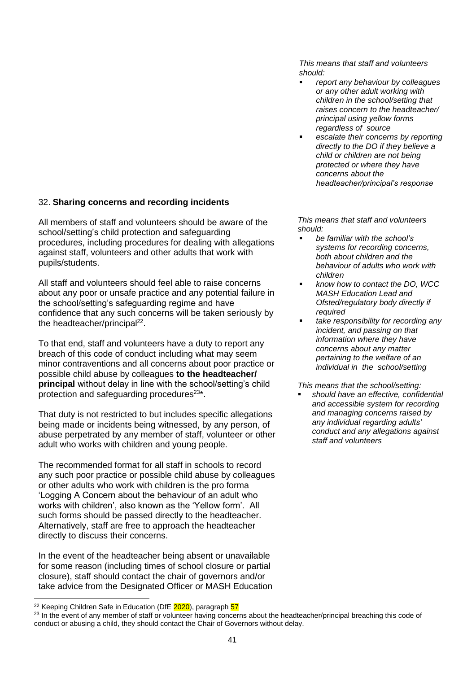# 32. **Sharing concerns and recording incidents**

All members of staff and volunteers should be aware of the school/setting's child protection and safeguarding procedures, including procedures for dealing with allegations against staff, volunteers and other adults that work with pupils/students.

All staff and volunteers should feel able to raise concerns about any poor or unsafe practice and any potential failure in the school/setting's safeguarding regime and have confidence that any such concerns will be taken seriously by the headteacher/principal<sup>22</sup>.

To that end, staff and volunteers have a duty to report any breach of this code of conduct including what may seem minor contraventions and all concerns about poor practice or possible child abuse by colleagues **to the headteacher/ principal** without delay in line with the school/setting's child protection and safeguarding procedures<sup>23\*</sup>.

That duty is not restricted to but includes specific allegations being made or incidents being witnessed, by any person, of abuse perpetrated by any member of staff, volunteer or other adult who works with children and young people.

The recommended format for all staff in schools to record any such poor practice or possible child abuse by colleagues or other adults who work with children is the pro forma 'Logging A Concern about the behaviour of an adult who works with children', also known as the 'Yellow form'. All such forms should be passed directly to the headteacher. Alternatively, staff are free to approach the headteacher directly to discuss their concerns.

In the event of the headteacher being absent or unavailable for some reason (including times of school closure or partial closure), staff should contact the chair of governors and/or take advice from the Designated Officer or MASH Education

*This means that staff and volunteers should:*

- *report any behaviour by colleagues or any other adult working with children in the school/setting that raises concern to the headteacher/ principal using yellow forms regardless of source*
- escalate their concerns by reporting *directly to the DO if they believe a child or children are not being protected or where they have concerns about the headteacher/principal's response*

*This means that staff and volunteers should:*

- *be familiar with the school's systems for recording concerns, both about children and the behaviour of adults who work with children*
- *know how to contact the DO, WCC MASH Education Lead and Ofsted/regulatory body directly if required*
- *take responsibility for recording any incident, and passing on that information where they have concerns about any matter pertaining to the welfare of an individual in the school/setting*

*This means that the school/setting:*

▪ *should have an effective, confidential and accessible system for recording and managing concerns raised by any individual regarding adults' conduct and any allegations against staff and volunteers* 

<sup>&</sup>lt;sup>22</sup> Keeping Children Safe in Education (DfE 2020), paragraph 57

<sup>&</sup>lt;sup>23</sup> In the event of any member of staff or volunteer having concerns about the headteacher/principal breaching this code of conduct or abusing a child, they should contact the Chair of Governors without delay.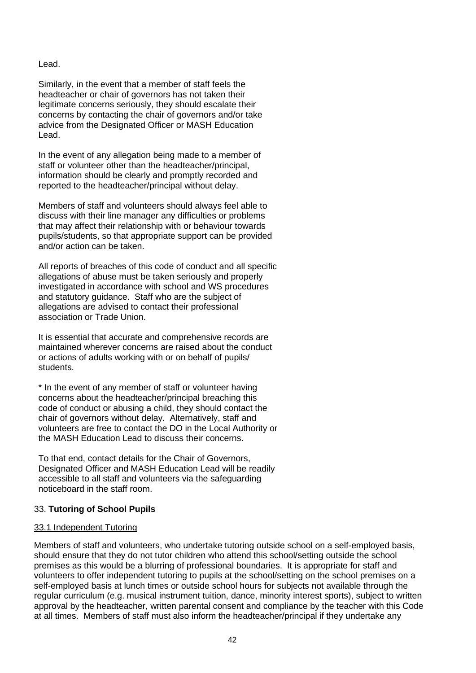## Lead.

Similarly, in the event that a member of staff feels the headteacher or chair of governors has not taken their legitimate concerns seriously, they should escalate their concerns by contacting the chair of governors and/or take advice from the Designated Officer or MASH Education Lead.

In the event of any allegation being made to a member of staff or volunteer other than the headteacher/principal, information should be clearly and promptly recorded and reported to the headteacher/principal without delay.

Members of staff and volunteers should always feel able to discuss with their line manager any difficulties or problems that may affect their relationship with or behaviour towards pupils/students, so that appropriate support can be provided and/or action can be taken.

All reports of breaches of this code of conduct and all specific allegations of abuse must be taken seriously and properly investigated in accordance with school and WS procedures and statutory guidance. Staff who are the subject of allegations are advised to contact their professional association or Trade Union.

It is essential that accurate and comprehensive records are maintained wherever concerns are raised about the conduct or actions of adults working with or on behalf of pupils/ students.

\* In the event of any member of staff or volunteer having concerns about the headteacher/principal breaching this code of conduct or abusing a child, they should contact the chair of governors without delay. Alternatively, staff and volunteers are free to contact the DO in the Local Authority or the MASH Education Lead to discuss their concerns.

To that end, contact details for the Chair of Governors, Designated Officer and MASH Education Lead will be readily accessible to all staff and volunteers via the safeguarding noticeboard in the staff room.

# 33. **Tutoring of School Pupils**

# 33.1 Independent Tutoring

Members of staff and volunteers, who undertake tutoring outside school on a self-employed basis, should ensure that they do not tutor children who attend this school/setting outside the school premises as this would be a blurring of professional boundaries. It is appropriate for staff and volunteers to offer independent tutoring to pupils at the school/setting on the school premises on a self-employed basis at lunch times or outside school hours for subjects not available through the regular curriculum (e.g. musical instrument tuition, dance, minority interest sports), subject to written approval by the headteacher, written parental consent and compliance by the teacher with this Code at all times. Members of staff must also inform the headteacher/principal if they undertake any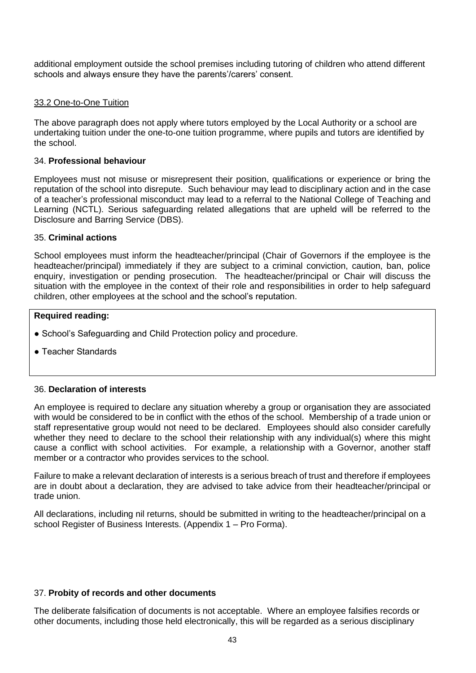additional employment outside the school premises including tutoring of children who attend different schools and always ensure they have the parents'/carers' consent.

## 33.2 One-to-One Tuition

The above paragraph does not apply where tutors employed by the Local Authority or a school are undertaking tuition under the one-to-one tuition programme, where pupils and tutors are identified by the school.

#### 34. **Professional behaviour**

Employees must not misuse or misrepresent their position, qualifications or experience or bring the reputation of the school into disrepute. Such behaviour may lead to disciplinary action and in the case of a teacher's professional misconduct may lead to a referral to the National College of Teaching and Learning (NCTL). Serious safeguarding related allegations that are upheld will be referred to the Disclosure and Barring Service (DBS).

#### 35. **Criminal actions**

School employees must inform the headteacher/principal (Chair of Governors if the employee is the headteacher/principal) immediately if they are subject to a criminal conviction, caution, ban, police enquiry, investigation or pending prosecution. The headteacher/principal or Chair will discuss the situation with the employee in the context of their role and responsibilities in order to help safeguard children, other employees at the school and the school's reputation.

#### **Required reading:**

- School's Safeguarding and Child Protection policy and procedure.
- Teacher Standards

#### 36. **Declaration of interests**

An employee is required to declare any situation whereby a group or organisation they are associated with would be considered to be in conflict with the ethos of the school. Membership of a trade union or staff representative group would not need to be declared. Employees should also consider carefully whether they need to declare to the school their relationship with any individual(s) where this might cause a conflict with school activities. For example, a relationship with a Governor, another staff member or a contractor who provides services to the school.

Failure to make a relevant declaration of interests is a serious breach of trust and therefore if employees are in doubt about a declaration, they are advised to take advice from their headteacher/principal or trade union.

All declarations, including nil returns, should be submitted in writing to the headteacher/principal on a school Register of Business Interests. (Appendix 1 – Pro Forma).

#### 37. **Probity of records and other documents**

The deliberate falsification of documents is not acceptable. Where an employee falsifies records or other documents, including those held electronically, this will be regarded as a serious disciplinary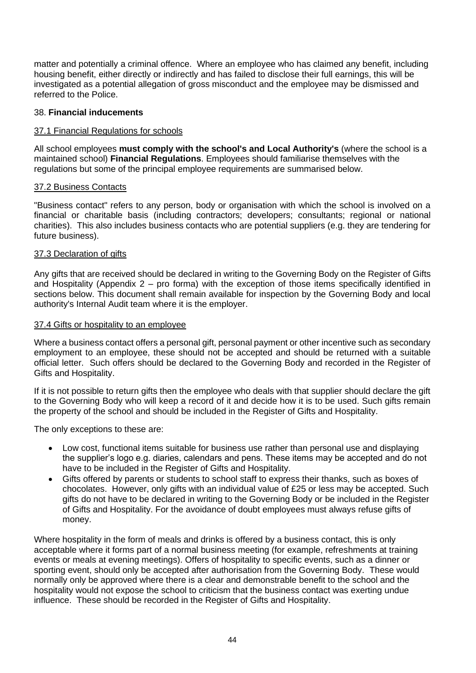matter and potentially a criminal offence. Where an employee who has claimed any benefit, including housing benefit, either directly or indirectly and has failed to disclose their full earnings, this will be investigated as a potential allegation of gross misconduct and the employee may be dismissed and referred to the Police.

## 38. **Financial inducements**

#### 37.1 Financial Regulations for schools

All school employees **must comply with the school's and Local Authority's** (where the school is a maintained school) **Financial Regulations**. Employees should familiarise themselves with the regulations but some of the principal employee requirements are summarised below.

#### 37.2 Business Contacts

"Business contact" refers to any person, body or organisation with which the school is involved on a financial or charitable basis (including contractors; developers; consultants; regional or national charities). This also includes business contacts who are potential suppliers (e.g. they are tendering for future business).

#### 37.3 Declaration of gifts

Any gifts that are received should be declared in writing to the Governing Body on the Register of Gifts and Hospitality (Appendix 2 – pro forma) with the exception of those items specifically identified in sections below. This document shall remain available for inspection by the Governing Body and local authority's Internal Audit team where it is the employer.

#### 37.4 Gifts or hospitality to an employee

Where a business contact offers a personal gift, personal payment or other incentive such as secondary employment to an employee, these should not be accepted and should be returned with a suitable official letter. Such offers should be declared to the Governing Body and recorded in the Register of Gifts and Hospitality.

If it is not possible to return gifts then the employee who deals with that supplier should declare the gift to the Governing Body who will keep a record of it and decide how it is to be used. Such gifts remain the property of the school and should be included in the Register of Gifts and Hospitality.

The only exceptions to these are:

- Low cost, functional items suitable for business use rather than personal use and displaying the supplier's logo e.g. diaries, calendars and pens. These items may be accepted and do not have to be included in the Register of Gifts and Hospitality.
- Gifts offered by parents or students to school staff to express their thanks, such as boxes of chocolates. However, only gifts with an individual value of £25 or less may be accepted. Such gifts do not have to be declared in writing to the Governing Body or be included in the Register of Gifts and Hospitality. For the avoidance of doubt employees must always refuse gifts of money.

Where hospitality in the form of meals and drinks is offered by a business contact, this is only acceptable where it forms part of a normal business meeting (for example, refreshments at training events or meals at evening meetings). Offers of hospitality to specific events, such as a dinner or sporting event, should only be accepted after authorisation from the Governing Body. These would normally only be approved where there is a clear and demonstrable benefit to the school and the hospitality would not expose the school to criticism that the business contact was exerting undue influence. These should be recorded in the Register of Gifts and Hospitality.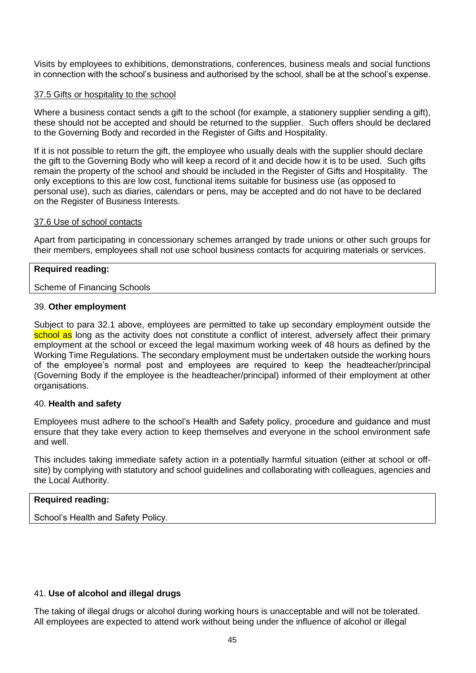Visits by employees to exhibitions, demonstrations, conferences, business meals and social functions in connection with the school's business and authorised by the school, shall be at the school's expense.

#### 37.5 Gifts or hospitality to the school

Where a business contact sends a gift to the school (for example, a stationery supplier sending a gift), these should not be accepted and should be returned to the supplier. Such offers should be declared to the Governing Body and recorded in the Register of Gifts and Hospitality.

If it is not possible to return the gift, the employee who usually deals with the supplier should declare the gift to the Governing Body who will keep a record of it and decide how it is to be used. Such gifts remain the property of the school and should be included in the Register of Gifts and Hospitality. The only exceptions to this are low cost, functional items suitable for business use (as opposed to personal use), such as diaries, calendars or pens, may be accepted and do not have to be declared on the Register of Business Interests.

#### 37.6 Use of school contacts

Apart from participating in concessionary schemes arranged by trade unions or other such groups for their members, employees shall not use school business contacts for acquiring materials or services.

# **Required reading:**

#### Scheme of Financing Schools

#### 39. **Other employment**

Subject to para 32.1 above, employees are permitted to take up secondary employment outside the school as long as the activity does not constitute a conflict of interest, adversely affect their primary employment at the school or exceed the legal maximum working week of 48 hours as defined by the Working Time Regulations. The secondary employment must be undertaken outside the working hours of the employee's normal post and employees are required to keep the headteacher/principal (Governing Body if the employee is the headteacher/principal) informed of their employment at other organisations.

#### 40. **Health and safety**

Employees must adhere to the school's Health and Safety policy, procedure and guidance and must ensure that they take every action to keep themselves and everyone in the school environment safe and well.

This includes taking immediate safety action in a potentially harmful situation (either at school or offsite) by complying with statutory and school guidelines and collaborating with colleagues, agencies and the Local Authority.

# **Required reading:**

School's Health and Safety Policy.

# 41. **Use of alcohol and illegal drugs**

The taking of illegal drugs or alcohol during working hours is unacceptable and will not be tolerated. All employees are expected to attend work without being under the influence of alcohol or illegal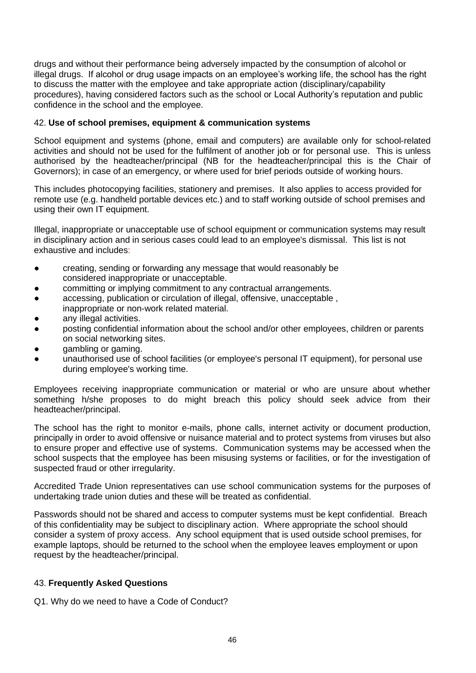drugs and without their performance being adversely impacted by the consumption of alcohol or illegal drugs. If alcohol or drug usage impacts on an employee's working life, the school has the right to discuss the matter with the employee and take appropriate action (disciplinary/capability procedures), having considered factors such as the school or Local Authority's reputation and public confidence in the school and the employee.

# 42. **Use of school premises, equipment & communication systems**

School equipment and systems (phone, email and computers) are available only for school-related activities and should not be used for the fulfilment of another job or for personal use. This is unless authorised by the headteacher/principal (NB for the headteacher/principal this is the Chair of Governors); in case of an emergency, or where used for brief periods outside of working hours.

This includes photocopying facilities, stationery and premises. It also applies to access provided for remote use (e.g. handheld portable devices etc.) and to staff working outside of school premises and using their own IT equipment.

Illegal, inappropriate or unacceptable use of school equipment or communication systems may result in disciplinary action and in serious cases could lead to an employee's dismissal. This list is not exhaustive and includes:

- creating, sending or forwarding any message that would reasonably be considered inappropriate or unacceptable.
- committing or implying commitment to any contractual arrangements.
- accessing, publication or circulation of illegal, offensive, unacceptable, inappropriate or non-work related material.
- any illegal activities.
- posting confidential information about the school and/or other employees, children or parents on social networking sites.
- gambling or gaming.
- unauthorised use of school facilities (or employee's personal IT equipment), for personal use during employee's working time.

Employees receiving inappropriate communication or material or who are unsure about whether something h/she proposes to do might breach this policy should seek advice from their headteacher/principal.

The school has the right to monitor e-mails, phone calls, internet activity or document production, principally in order to avoid offensive or nuisance material and to protect systems from viruses but also to ensure proper and effective use of systems. Communication systems may be accessed when the school suspects that the employee has been misusing systems or facilities, or for the investigation of suspected fraud or other irregularity.

Accredited Trade Union representatives can use school communication systems for the purposes of undertaking trade union duties and these will be treated as confidential.

Passwords should not be shared and access to computer systems must be kept confidential. Breach of this confidentiality may be subject to disciplinary action. Where appropriate the school should consider a system of proxy access. Any school equipment that is used outside school premises, for example laptops, should be returned to the school when the employee leaves employment or upon request by the headteacher/principal.

# 43. **Frequently Asked Questions**

Q1. Why do we need to have a Code of Conduct?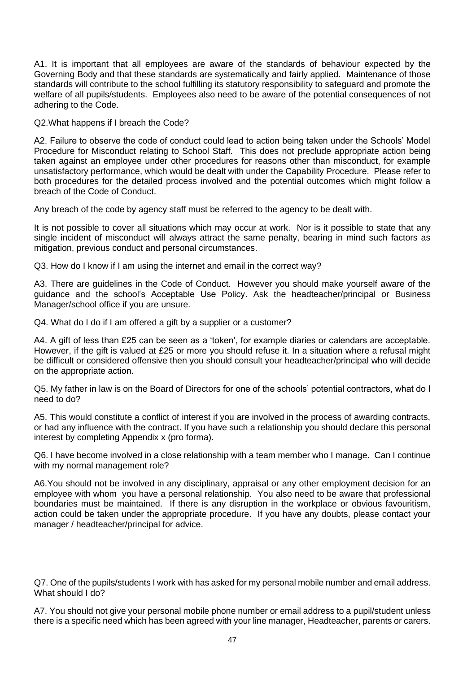A1. It is important that all employees are aware of the standards of behaviour expected by the Governing Body and that these standards are systematically and fairly applied. Maintenance of those standards will contribute to the school fulfilling its statutory responsibility to safeguard and promote the welfare of all pupils/students. Employees also need to be aware of the potential consequences of not adhering to the Code.

Q2.What happens if I breach the Code?

A2. Failure to observe the code of conduct could lead to action being taken under the Schools' Model Procedure for Misconduct relating to School Staff. This does not preclude appropriate action being taken against an employee under other procedures for reasons other than misconduct, for example unsatisfactory performance, which would be dealt with under the Capability Procedure. Please refer to both procedures for the detailed process involved and the potential outcomes which might follow a breach of the Code of Conduct.

Any breach of the code by agency staff must be referred to the agency to be dealt with.

It is not possible to cover all situations which may occur at work. Nor is it possible to state that any single incident of misconduct will always attract the same penalty, bearing in mind such factors as mitigation, previous conduct and personal circumstances.

Q3. How do I know if I am using the internet and email in the correct way?

A3. There are guidelines in the Code of Conduct. However you should make yourself aware of the guidance and the school's Acceptable Use Policy. Ask the headteacher/principal or Business Manager/school office if you are unsure.

Q4. What do I do if I am offered a gift by a supplier or a customer?

A4. A gift of less than £25 can be seen as a 'token', for example diaries or calendars are acceptable. However, if the gift is valued at £25 or more you should refuse it. In a situation where a refusal might be difficult or considered offensive then you should consult your headteacher/principal who will decide on the appropriate action.

Q5. My father in law is on the Board of Directors for one of the schools' potential contractors, what do I need to do?

A5. This would constitute a conflict of interest if you are involved in the process of awarding contracts, or had any influence with the contract. If you have such a relationship you should declare this personal interest by completing Appendix x (pro forma).

Q6. I have become involved in a close relationship with a team member who I manage. Can I continue with my normal management role?

A6.You should not be involved in any disciplinary, appraisal or any other employment decision for an employee with whom you have a personal relationship. You also need to be aware that professional boundaries must be maintained. If there is any disruption in the workplace or obvious favouritism, action could be taken under the appropriate procedure. If you have any doubts, please contact your manager / headteacher/principal for advice.

Q7. One of the pupils/students I work with has asked for my personal mobile number and email address. What should I do?

A7. You should not give your personal mobile phone number or email address to a pupil/student unless there is a specific need which has been agreed with your line manager, Headteacher, parents or carers.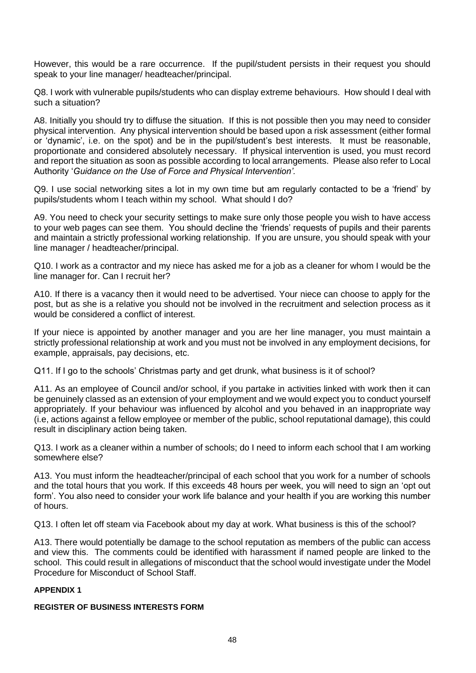However, this would be a rare occurrence. If the pupil/student persists in their request you should speak to your line manager/ headteacher/principal.

Q8. I work with vulnerable pupils/students who can display extreme behaviours. How should I deal with such a situation?

A8. Initially you should try to diffuse the situation. If this is not possible then you may need to consider physical intervention. Any physical intervention should be based upon a risk assessment (either formal or 'dynamic', i.e. on the spot) and be in the pupil/student's best interests. It must be reasonable, proportionate and considered absolutely necessary. If physical intervention is used, you must record and report the situation as soon as possible according to local arrangements. Please also refer to Local Authority '*Guidance on the Use of Force and Physical Intervention'.*

Q9. I use social networking sites a lot in my own time but am regularly contacted to be a 'friend' by pupils/students whom I teach within my school. What should I do?

A9. You need to check your security settings to make sure only those people you wish to have access to your web pages can see them. You should decline the 'friends' requests of pupils and their parents and maintain a strictly professional working relationship. If you are unsure, you should speak with your line manager / headteacher/principal.

Q10. I work as a contractor and my niece has asked me for a job as a cleaner for whom I would be the line manager for. Can I recruit her?

A10. If there is a vacancy then it would need to be advertised. Your niece can choose to apply for the post, but as she is a relative you should not be involved in the recruitment and selection process as it would be considered a conflict of interest.

If your niece is appointed by another manager and you are her line manager, you must maintain a strictly professional relationship at work and you must not be involved in any employment decisions, for example, appraisals, pay decisions, etc.

Q11. If I go to the schools' Christmas party and get drunk, what business is it of school?

A11. As an employee of Council and/or school, if you partake in activities linked with work then it can be genuinely classed as an extension of your employment and we would expect you to conduct yourself appropriately. If your behaviour was influenced by alcohol and you behaved in an inappropriate way (i.e, actions against a fellow employee or member of the public, school reputational damage), this could result in disciplinary action being taken.

Q13. I work as a cleaner within a number of schools; do I need to inform each school that I am working somewhere else?

A13. You must inform the headteacher/principal of each school that you work for a number of schools and the total hours that you work. If this exceeds 48 hours per week, you will need to sign an 'opt out form'. You also need to consider your work life balance and your health if you are working this number of hours.

Q13. I often let off steam via Facebook about my day at work. What business is this of the school?

A13. There would potentially be damage to the school reputation as members of the public can access and view this. The comments could be identified with harassment if named people are linked to the school. This could result in allegations of misconduct that the school would investigate under the Model Procedure for Misconduct of School Staff.

#### **APPENDIX 1**

## **REGISTER OF BUSINESS INTERESTS FORM**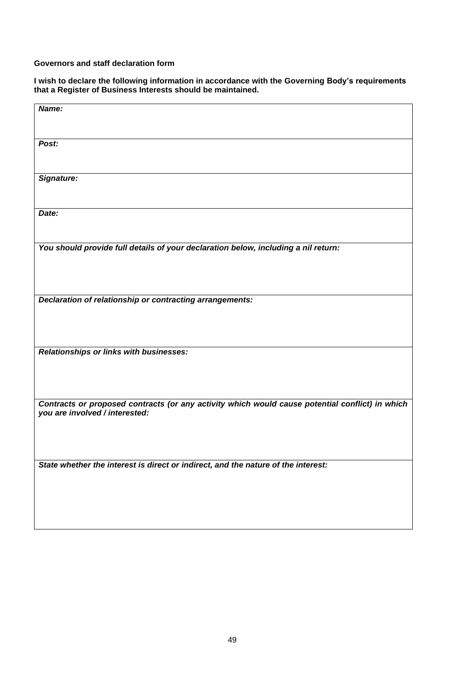#### **Governors and staff declaration form**

**I wish to declare the following information in accordance with the Governing Body's requirements that a Register of Business Interests should be maintained.**

| Name:                                                                                                                             |  |
|-----------------------------------------------------------------------------------------------------------------------------------|--|
| Post:                                                                                                                             |  |
| Signature:                                                                                                                        |  |
| Date:                                                                                                                             |  |
| You should provide full details of your declaration below, including a nil return:                                                |  |
| Declaration of relationship or contracting arrangements:                                                                          |  |
| Relationships or links with businesses:                                                                                           |  |
| Contracts or proposed contracts (or any activity which would cause potential conflict) in which<br>you are involved / interested: |  |
| State whether the interest is direct or indirect, and the nature of the interest:                                                 |  |